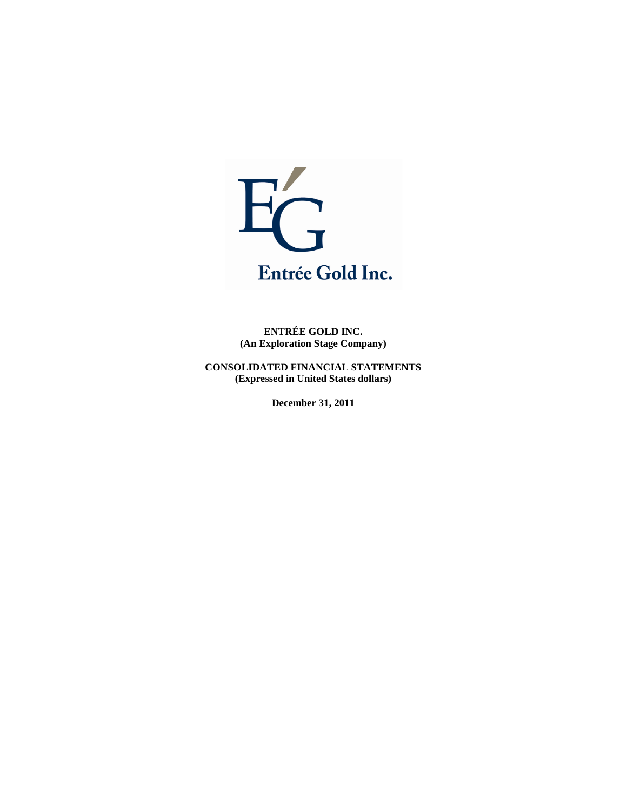

**ENTRÉE GOLD INC. (An Exploration Stage Company)**

**CONSOLIDATED FINANCIAL STATEMENTS (Expressed in United States dollars)**

**December 31, 2011**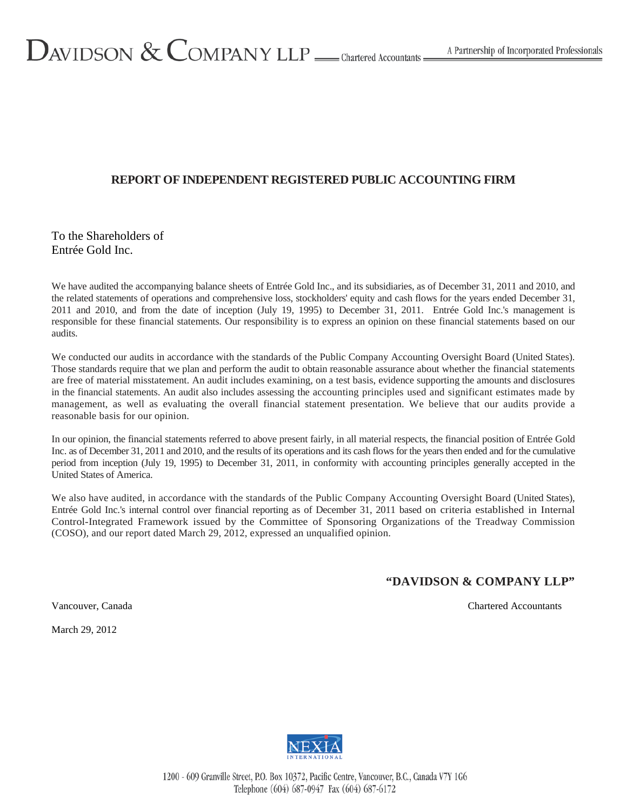#### **REPORT OF INDEPENDENT REGISTERED PUBLIC ACCOUNTING FIRM**

#### To the Shareholders of Entrée Gold Inc.

We have audited the accompanying balance sheets of Entrée Gold Inc., and its subsidiaries, as of December 31, 2011 and 2010, and the related statements of operations and comprehensive loss, stockholders' equity and cash flows for the years ended December 31, 2011 and 2010, and from the date of inception (July 19, 1995) to December 31, 2011. Entrée Gold Inc.'s management is responsible for these financial statements. Our responsibility is to express an opinion on these financial statements based on our audits.

We conducted our audits in accordance with the standards of the Public Company Accounting Oversight Board (United States). Those standards require that we plan and perform the audit to obtain reasonable assurance about whether the financial statements are free of material misstatement. An audit includes examining, on a test basis, evidence supporting the amounts and disclosures in the financial statements. An audit also includes assessing the accounting principles used and significant estimates made by management, as well as evaluating the overall financial statement presentation. We believe that our audits provide a reasonable basis for our opinion.

In our opinion, the financial statements referred to above present fairly, in all material respects, the financial position of Entrée Gold Inc. as of December 31, 2011 and 2010, and the results of its operations and its cash flows for the years then ended and for the cumulative period from inception (July 19, 1995) to December 31, 2011, in conformity with accounting principles generally accepted in the United States of America.

We also have audited, in accordance with the standards of the Public Company Accounting Oversight Board (United States), Entrée Gold Inc.'s internal control over financial reporting as of December 31, 2011 based on criteria established in Internal Control-Integrated Framework issued by the Committee of Sponsoring Organizations of the Treadway Commission (COSO), and our report dated March 29, 2012, expressed an unqualified opinion.

#### **"DAVIDSON & COMPANY LLP"**

Vancouver, Canada Chartered Accountants

March 29, 2012

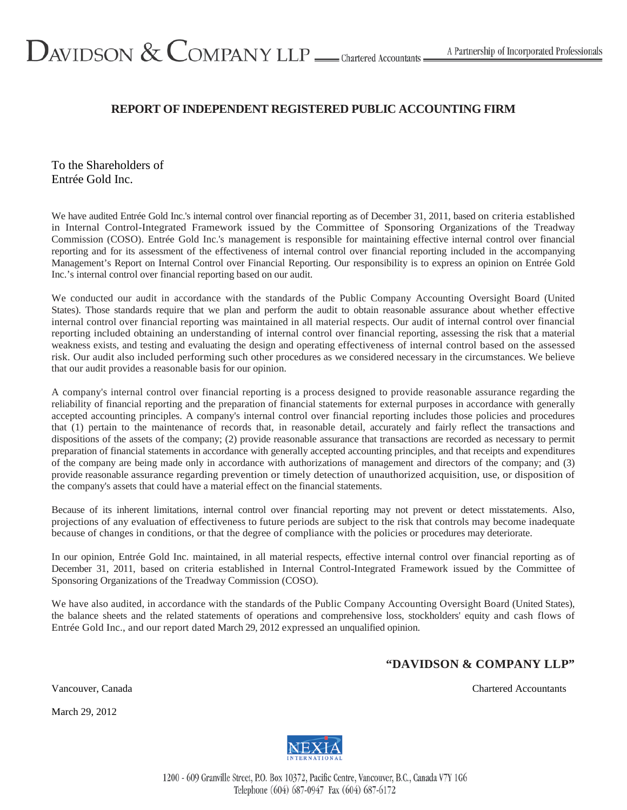# $D_{AVIDSON}$  &  $C_{OMPANY$  LLP  $\_\_$  Chartered Accountants =

#### **REPORT OF INDEPENDENT REGISTERED PUBLIC ACCOUNTING FIRM**

To the Shareholders of Entrée Gold Inc.

We have audited Entrée Gold Inc.'s internal control over financial reporting as of December 31, 2011, based on criteria established in Internal Control-Integrated Framework issued by the Committee of Sponsoring Organizations of the Treadway Commission (COSO). Entrée Gold Inc.'s management is responsible for maintaining effective internal control over financial reporting and for its assessment of the effectiveness of internal control over financial reporting included in the accompanying Management's Report on Internal Control over Financial Reporting. Our responsibility is to express an opinion on Entrée Gold Inc.'s internal control over financial reporting based on our audit.

We conducted our audit in accordance with the standards of the Public Company Accounting Oversight Board (United States). Those standards require that we plan and perform the audit to obtain reasonable assurance about whether effective internal control over financial reporting was maintained in all material respects. Our audit of internal control over financial reporting included obtaining an understanding of internal control over financial reporting, assessing the risk that a material weakness exists, and testing and evaluating the design and operating effectiveness of internal control based on the assessed risk. Our audit also included performing such other procedures as we considered necessary in the circumstances. We believe that our audit provides a reasonable basis for our opinion.

A company's internal control over financial reporting is a process designed to provide reasonable assurance regarding the reliability of financial reporting and the preparation of financial statements for external purposes in accordance with generally accepted accounting principles. A company's internal control over financial reporting includes those policies and procedures that (1) pertain to the maintenance of records that, in reasonable detail, accurately and fairly reflect the transactions and dispositions of the assets of the company; (2) provide reasonable assurance that transactions are recorded as necessary to permit preparation of financial statements in accordance with generally accepted accounting principles, and that receipts and expenditures of the company are being made only in accordance with authorizations of management and directors of the company; and (3) provide reasonable assurance regarding prevention or timely detection of unauthorized acquisition, use, or disposition of the company's assets that could have a material effect on the financial statements.

Because of its inherent limitations, internal control over financial reporting may not prevent or detect misstatements. Also, projections of any evaluation of effectiveness to future periods are subject to the risk that controls may become inadequate because of changes in conditions, or that the degree of compliance with the policies or procedures may deteriorate.

In our opinion, Entrée Gold Inc. maintained, in all material respects, effective internal control over financial reporting as of December 31, 2011, based on criteria established in Internal Control-Integrated Framework issued by the Committee of Sponsoring Organizations of the Treadway Commission (COSO).

We have also audited, in accordance with the standards of the Public Company Accounting Oversight Board (United States), the balance sheets and the related statements of operations and comprehensive loss, stockholders' equity and cash flows of Entrée Gold Inc., and our report dated March 29, 2012 expressed an unqualified opinion.

#### **"DAVIDSON & COMPANY LLP"**

Vancouver, Canada Chartered Accountants Chartered Accountants

March 29, 2012

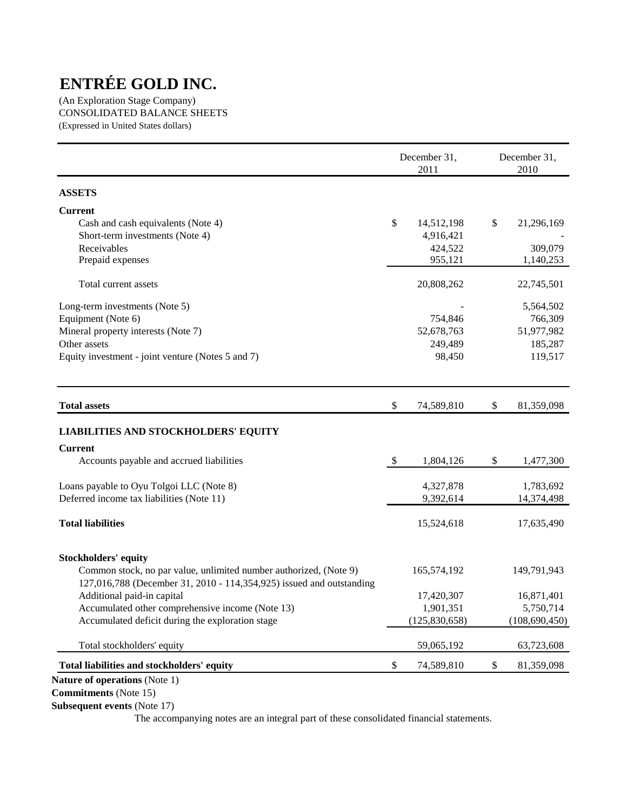(An Exploration Stage Company) CONSOLIDATED BALANCE SHEETS (Expressed in United States dollars)

|                                                                                                                                           |               | December 31,<br>2011 | December 31,<br>2010 |
|-------------------------------------------------------------------------------------------------------------------------------------------|---------------|----------------------|----------------------|
| <b>ASSETS</b>                                                                                                                             |               |                      |                      |
| <b>Current</b>                                                                                                                            |               |                      |                      |
| Cash and cash equivalents (Note 4)                                                                                                        | \$            | 14,512,198           | \$<br>21,296,169     |
| Short-term investments (Note 4)                                                                                                           |               | 4,916,421            |                      |
| Receivables                                                                                                                               |               | 424,522              | 309,079              |
| Prepaid expenses                                                                                                                          |               | 955,121              | 1,140,253            |
| Total current assets                                                                                                                      |               | 20,808,262           | 22,745,501           |
| Long-term investments (Note 5)                                                                                                            |               |                      | 5,564,502            |
| Equipment (Note 6)                                                                                                                        |               | 754,846              | 766,309              |
| Mineral property interests (Note 7)                                                                                                       |               | 52,678,763           | 51,977,982           |
| Other assets                                                                                                                              |               | 249,489              | 185,287              |
| Equity investment - joint venture (Notes 5 and 7)                                                                                         |               | 98,450               | 119,517              |
| <b>Total assets</b>                                                                                                                       | \$            | 74,589,810           | \$<br>81,359,098     |
| LIABILITIES AND STOCKHOLDERS' EQUITY                                                                                                      |               |                      |                      |
| <b>Current</b>                                                                                                                            |               |                      |                      |
| Accounts payable and accrued liabilities                                                                                                  | $\mathcal{S}$ | 1,804,126            | \$<br>1,477,300      |
| Loans payable to Oyu Tolgoi LLC (Note 8)                                                                                                  |               | 4,327,878            | 1,783,692            |
| Deferred income tax liabilities (Note 11)                                                                                                 |               | 9,392,614            | 14,374,498           |
| <b>Total liabilities</b>                                                                                                                  |               | 15,524,618           | 17,635,490           |
| <b>Stockholders' equity</b>                                                                                                               |               |                      |                      |
| Common stock, no par value, unlimited number authorized, (Note 9)<br>127,016,788 (December 31, 2010 - 114,354,925) issued and outstanding |               | 165,574,192          | 149,791,943          |
| Additional paid-in capital                                                                                                                |               | 17,420,307           | 16,871,401           |
| Accumulated other comprehensive income (Note 13)                                                                                          |               | 1,901,351            | 5,750,714            |
| Accumulated deficit during the exploration stage                                                                                          |               | (125, 830, 658)      | (108, 690, 450)      |
| Total stockholders' equity                                                                                                                |               | 59,065,192           | 63,723,608           |
| Total liabilities and stockholders' equity                                                                                                | \$            | 74,589,810           | \$<br>81,359,098     |
|                                                                                                                                           |               |                      |                      |

**Nature of operations** (Note 1)

**Commitments** (Note 15)

**Subsequent events** (Note 17)

The accompanying notes are an integral part of these consolidated financial statements.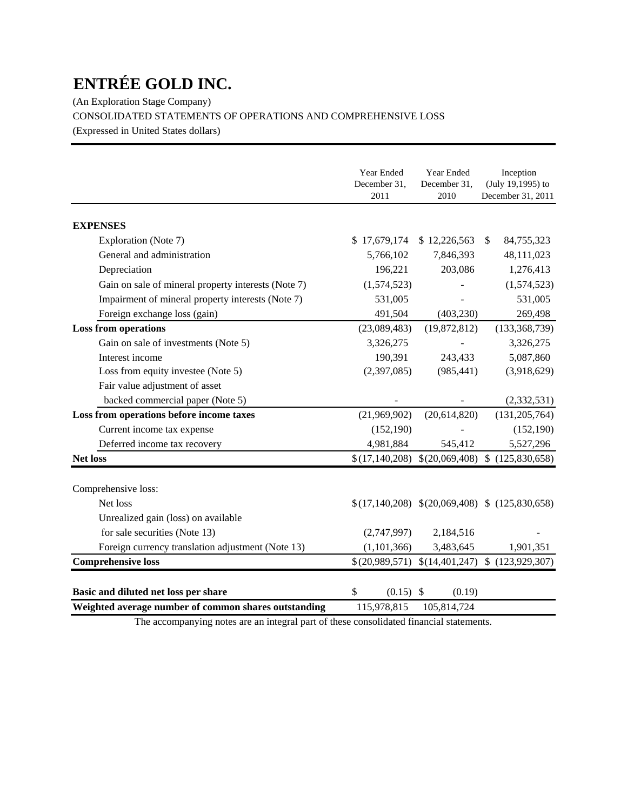(An Exploration Stage Company)

CONSOLIDATED STATEMENTS OF OPERATIONS AND COMPREHENSIVE LOSS

(Expressed in United States dollars)

|                                                                                | Year Ended<br>December 31,      | Year Ended<br>December 31,  | Inception<br>(July 19,1995) to                   |
|--------------------------------------------------------------------------------|---------------------------------|-----------------------------|--------------------------------------------------|
|                                                                                | 2011                            | 2010                        | December 31, 2011                                |
| <b>EXPENSES</b>                                                                |                                 |                             |                                                  |
| Exploration (Note 7)                                                           | \$17,679,174                    | \$12,226,563                | 84,755,323<br><sup>\$</sup>                      |
| General and administration                                                     | 5,766,102                       | 7,846,393                   | 48,111,023                                       |
| Depreciation                                                                   | 196,221                         | 203,086                     | 1,276,413                                        |
| Gain on sale of mineral property interests (Note 7)                            | (1,574,523)                     |                             | (1,574,523)                                      |
| Impairment of mineral property interests (Note 7)                              | 531,005                         |                             | 531,005                                          |
| Foreign exchange loss (gain)                                                   | 491,504                         | (403, 230)                  | 269,498                                          |
| <b>Loss from operations</b>                                                    | (23,089,483)                    | (19,872,812)                | (133, 368, 739)                                  |
| Gain on sale of investments (Note 5)                                           | 3,326,275                       |                             | 3,326,275                                        |
| Interest income                                                                | 190,391                         | 243,433                     | 5,087,860                                        |
| Loss from equity investee (Note 5)                                             | (2,397,085)                     | (985, 441)                  | (3,918,629)                                      |
| Fair value adjustment of asset                                                 |                                 |                             |                                                  |
| backed commercial paper (Note 5)                                               |                                 |                             | (2, 332, 531)                                    |
| Loss from operations before income taxes                                       | (21,969,902)                    | (20,614,820)                | (131, 205, 764)                                  |
| Current income tax expense                                                     | (152, 190)                      |                             | (152, 190)                                       |
| Deferred income tax recovery                                                   | 4,981,884                       | 545,412                     | 5,527,296                                        |
| <b>Net loss</b>                                                                | \$(17,140,208)                  |                             | $$(20,069,408)$ \$ $(125,830,658)$               |
| Comprehensive loss:                                                            |                                 |                             |                                                  |
| Net loss                                                                       |                                 |                             | $$(17,140,208)$ $$(20,069,408)$ $$(125,830,658)$ |
| Unrealized gain (loss) on available                                            |                                 |                             |                                                  |
| for sale securities (Note 13)                                                  | (2,747,997)                     | 2,184,516                   |                                                  |
|                                                                                |                                 |                             | 1,901,351                                        |
| Foreign currency translation adjustment (Note 13)<br><b>Comprehensive loss</b> | (1, 101, 366)<br>\$(20,989,571) | 3,483,645<br>\$(14,401,247) | \$(123,929,307)                                  |
|                                                                                |                                 |                             |                                                  |
| Basic and diluted net loss per share                                           | \$<br>$(0.15)$ \$               | (0.19)                      |                                                  |
| Weighted average number of common shares outstanding                           | 115,978,815                     | 105,814,724                 |                                                  |

The accompanying notes are an integral part of these consolidated financial statements.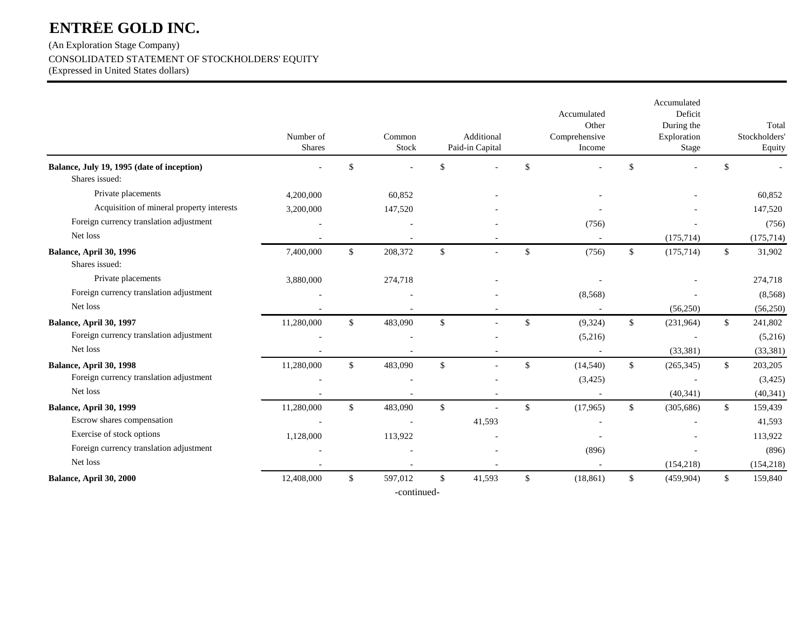(An Exploration Stage Company) CONSOLIDATED STATEMENT OF STOCKHOLDERS' EQUITY

(Expressed in United States dollars)

|                                                              | Number of<br><b>Shares</b> |              | Common<br><b>Stock</b> |              | Additional<br>Paid-in Capital | Accumulated<br>Other<br>Comprehensive<br>Income | Accumulated<br>Deficit<br>During the<br>Exploration<br>Stage |              | Total<br>Stockholders'<br>Equity |
|--------------------------------------------------------------|----------------------------|--------------|------------------------|--------------|-------------------------------|-------------------------------------------------|--------------------------------------------------------------|--------------|----------------------------------|
| Balance, July 19, 1995 (date of inception)<br>Shares issued: |                            | \$           |                        | \$           |                               | \$                                              | \$                                                           | -\$          |                                  |
| Private placements                                           | 4,200,000                  |              | 60,852                 |              |                               |                                                 |                                                              |              | 60,852                           |
| Acquisition of mineral property interests                    | 3,200,000                  |              | 147,520                |              |                               |                                                 |                                                              |              | 147,520                          |
| Foreign currency translation adjustment                      |                            |              |                        |              |                               | (756)                                           |                                                              |              | (756)                            |
| Net loss                                                     |                            |              |                        |              |                               |                                                 | (175, 714)                                                   |              | (175, 714)                       |
| Balance, April 30, 1996<br>Shares issued:                    | 7,400,000                  | \$           | 208,372                | \$           |                               | \$<br>(756)                                     | \$<br>(175, 714)                                             | \$           | 31,902                           |
| Private placements                                           | 3,880,000                  |              | 274,718                |              |                               |                                                 |                                                              |              | 274,718                          |
| Foreign currency translation adjustment                      |                            |              |                        |              |                               | (8, 568)                                        |                                                              |              | (8,568)                          |
| Net loss                                                     |                            |              |                        |              |                               |                                                 | (56,250)                                                     |              | (56,250)                         |
| Balance, April 30, 1997                                      | 11,280,000                 | $\mathbb{S}$ | 483,090                | $\mathbb{S}$ |                               | \$<br>(9, 324)                                  | \$<br>(231,964)                                              | $\mathbb{S}$ | 241,802                          |
| Foreign currency translation adjustment                      |                            |              |                        |              |                               | (5,216)                                         |                                                              |              | (5,216)                          |
| Net loss                                                     |                            |              |                        |              |                               |                                                 | (33, 381)                                                    |              | (33, 381)                        |
| Balance, April 30, 1998                                      | 11,280,000                 | $\mathbb{S}$ | 483,090                | \$           |                               | \$<br>(14, 540)                                 | \$<br>(265, 345)                                             | \$           | 203,205                          |
| Foreign currency translation adjustment                      |                            |              |                        |              |                               | (3, 425)                                        |                                                              |              | (3,425)                          |
| Net loss                                                     |                            |              |                        |              |                               |                                                 | (40,341)                                                     |              | (40, 341)                        |
| Balance, April 30, 1999                                      | 11,280,000                 | $\mathbb{S}$ | 483,090                | $\mathbb{S}$ |                               | \$<br>(17,965)                                  | \$<br>(305, 686)                                             | $\mathbb{S}$ | 159,439                          |
| Escrow shares compensation                                   | $\overline{\phantom{a}}$   |              |                        |              | 41,593                        |                                                 |                                                              |              | 41,593                           |
| Exercise of stock options                                    | 1,128,000                  |              | 113,922                |              |                               |                                                 |                                                              |              | 113,922                          |
| Foreign currency translation adjustment                      |                            |              |                        |              |                               | (896)                                           |                                                              |              | (896)                            |
| Net loss                                                     |                            |              |                        |              |                               |                                                 | (154, 218)                                                   |              | (154, 218)                       |
| Balance, April 30, 2000                                      | 12,408,000                 | \$           | 597,012                | \$           | 41,593                        | \$<br>(18, 861)                                 | \$<br>(459,904)                                              | \$           | 159,840                          |
|                                                              |                            |              | -continued-            |              |                               |                                                 |                                                              |              |                                  |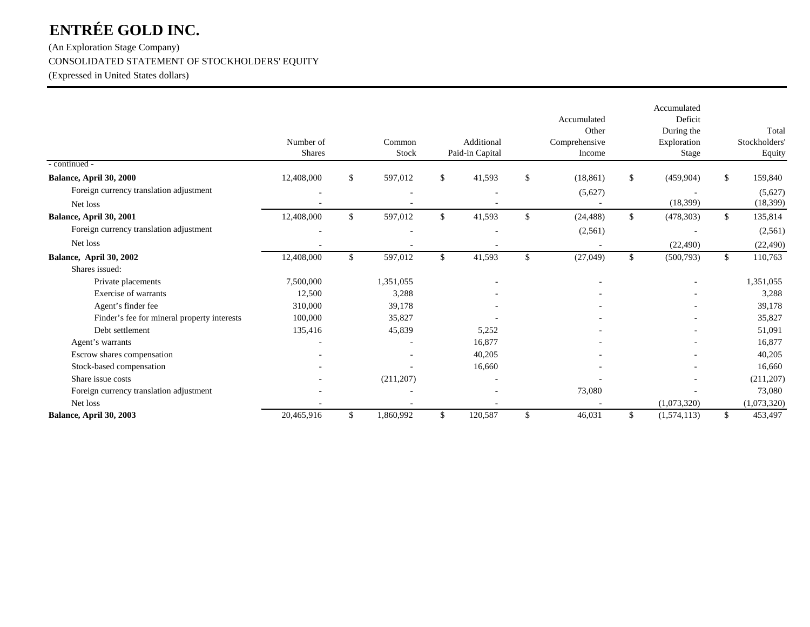### (An Exploration Stage Company)

#### CONSOLIDATED STATEMENT OF STOCKHOLDERS' EQUITY

(Expressed in United States dollars)

|                                             | Number of<br><b>Shares</b> | Common<br>Stock | Additional<br>Paid-in Capital | Accumulated<br>Other<br>Comprehensive<br>Income | Accumulated<br>Deficit<br>During the<br>Exploration<br><b>Stage</b> |              | Total<br>Stockholders'<br>Equity |
|---------------------------------------------|----------------------------|-----------------|-------------------------------|-------------------------------------------------|---------------------------------------------------------------------|--------------|----------------------------------|
| - continued -                               |                            |                 |                               |                                                 |                                                                     |              |                                  |
| Balance, April 30, 2000                     | 12,408,000                 | \$<br>597,012   | \$<br>41,593                  | \$<br>(18, 861)                                 | \$<br>(459, 904)                                                    | \$           | 159,840                          |
| Foreign currency translation adjustment     |                            |                 |                               | (5,627)                                         |                                                                     |              | (5,627)                          |
| Net loss                                    |                            |                 |                               |                                                 | (18, 399)                                                           |              | (18, 399)                        |
| Balance, April 30, 2001                     | 12,408,000                 | \$<br>597,012   | \$<br>41,593                  | \$<br>(24, 488)                                 | \$<br>(478, 303)                                                    | $\mathbb{S}$ | 135,814                          |
| Foreign currency translation adjustment     |                            |                 |                               | (2,561)                                         |                                                                     |              | (2,561)                          |
| Net loss                                    |                            |                 |                               |                                                 | (22, 490)                                                           |              | (22, 490)                        |
| Balance, April 30, 2002                     | 12,408,000                 | \$<br>597,012   | \$<br>41,593                  | \$<br>(27, 049)                                 | \$<br>(500, 793)                                                    | \$           | 110,763                          |
| Shares issued:                              |                            |                 |                               |                                                 |                                                                     |              |                                  |
| Private placements                          | 7,500,000                  | 1,351,055       |                               |                                                 |                                                                     |              | 1,351,055                        |
| Exercise of warrants                        | 12,500                     | 3,288           |                               |                                                 |                                                                     |              | 3,288                            |
| Agent's finder fee                          | 310,000                    | 39,178          |                               |                                                 |                                                                     |              | 39,178                           |
| Finder's fee for mineral property interests | 100,000                    | 35,827          |                               |                                                 |                                                                     |              | 35,827                           |
| Debt settlement                             | 135,416                    | 45,839          | 5,252                         |                                                 |                                                                     |              | 51,091                           |
| Agent's warrants                            |                            |                 | 16,877                        |                                                 |                                                                     |              | 16,877                           |
| Escrow shares compensation                  |                            |                 | 40,205                        |                                                 |                                                                     |              | 40,205                           |
| Stock-based compensation                    |                            |                 | 16,660                        |                                                 |                                                                     |              | 16,660                           |
| Share issue costs                           |                            | (211, 207)      |                               |                                                 |                                                                     |              | (211, 207)                       |
| Foreign currency translation adjustment     |                            |                 |                               | 73,080                                          |                                                                     |              | 73,080                           |
| Net loss                                    |                            |                 |                               |                                                 | (1,073,320)                                                         |              | (1,073,320)                      |
| Balance, April 30, 2003                     | 20,465,916                 | \$<br>1,860,992 | \$<br>120,587                 | \$<br>46,031                                    | \$<br>(1,574,113)                                                   | \$           | 453,497                          |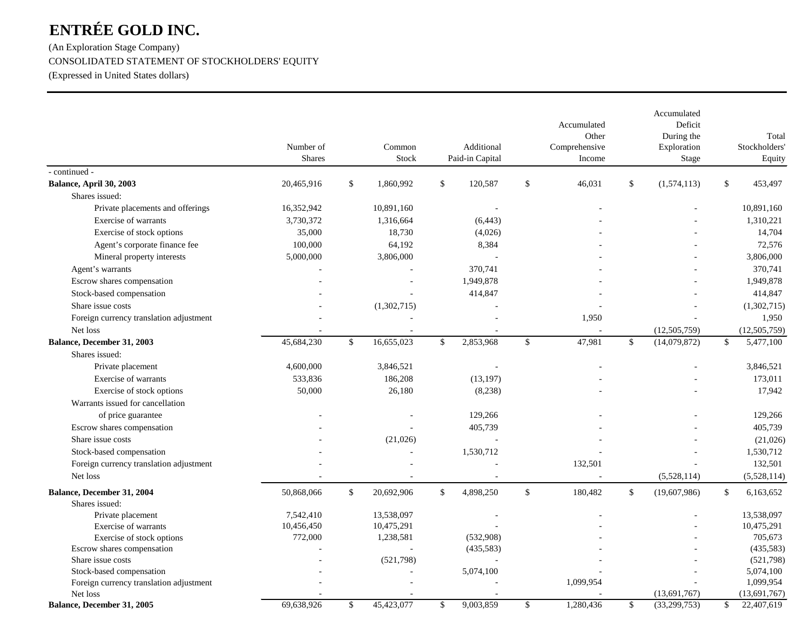(An Exploration Stage Company) CONSOLIDATED STATEMENT OF STOCKHOLDERS' EQUITY

(Expressed in United States dollars)

|                                         | Number of<br><b>Shares</b> | Common<br>Stock  | Additional<br>Paid-in Capital |               | Accumulated<br>Other<br>Comprehensive<br>Income |              | Accumulated<br>Deficit<br>During the<br>Exploration<br>Stage |             | Total<br>Stockholders'<br>Equity |
|-----------------------------------------|----------------------------|------------------|-------------------------------|---------------|-------------------------------------------------|--------------|--------------------------------------------------------------|-------------|----------------------------------|
| - continued -                           |                            |                  |                               |               |                                                 |              |                                                              |             |                                  |
| Balance, April 30, 2003                 | 20,465,916                 | \$<br>1,860,992  | \$<br>120,587                 | \$            | 46,031                                          | \$           | (1,574,113)                                                  | \$          | 453,497                          |
| Shares issued:                          |                            |                  |                               |               |                                                 |              |                                                              |             |                                  |
| Private placements and offerings        | 16,352,942                 | 10,891,160       |                               |               |                                                 |              |                                                              |             | 10,891,160                       |
| Exercise of warrants                    | 3,730,372                  | 1,316,664        | (6, 443)                      |               |                                                 |              |                                                              |             | 1,310,221                        |
| Exercise of stock options               | 35,000                     | 18,730           | (4,026)                       |               |                                                 |              |                                                              |             | 14,704                           |
| Agent's corporate finance fee           | 100,000                    | 64,192           | 8,384                         |               |                                                 |              |                                                              |             | 72,576                           |
| Mineral property interests              | 5,000,000                  | 3,806,000        |                               |               |                                                 |              |                                                              |             | 3,806,000                        |
| Agent's warrants                        |                            |                  | 370,741                       |               |                                                 |              |                                                              |             | 370,741                          |
| Escrow shares compensation              |                            |                  | 1,949,878                     |               |                                                 |              |                                                              |             | 1,949,878                        |
| Stock-based compensation                |                            |                  | 414,847                       |               |                                                 |              |                                                              |             | 414,847                          |
| Share issue costs                       |                            | (1,302,715)      |                               |               |                                                 |              |                                                              |             | (1,302,715)                      |
| Foreign currency translation adjustment |                            |                  |                               |               | 1,950                                           |              |                                                              |             | 1,950                            |
| Net loss                                |                            | $\sim$           |                               |               |                                                 |              | (12,505,759)                                                 |             | (12, 505, 759)                   |
| Balance, December 31, 2003              | 45,684,230                 | \$<br>16,655,023 | \$<br>2,853,968               | $\mathbb{S}$  | 47,981                                          | $\mathbb{S}$ | (14,079,872)                                                 | $\mathbf S$ | 5,477,100                        |
| Shares issued:                          |                            |                  |                               |               |                                                 |              |                                                              |             |                                  |
| Private placement                       | 4,600,000                  | 3,846,521        |                               |               |                                                 |              |                                                              |             | 3,846,521                        |
| Exercise of warrants                    | 533,836                    | 186,208          | (13, 197)                     |               |                                                 |              |                                                              |             | 173,011                          |
| Exercise of stock options               | 50,000                     | 26,180           | (8,238)                       |               |                                                 |              |                                                              |             | 17,942                           |
| Warrants issued for cancellation        |                            |                  |                               |               |                                                 |              |                                                              |             |                                  |
| of price guarantee                      |                            |                  | 129,266                       |               |                                                 |              |                                                              |             | 129,266                          |
| Escrow shares compensation              |                            |                  | 405,739                       |               |                                                 |              |                                                              |             | 405,739                          |
| Share issue costs                       |                            | (21,026)         |                               |               |                                                 |              |                                                              |             | (21,026)                         |
| Stock-based compensation                |                            |                  | 1,530,712                     |               |                                                 |              |                                                              |             | 1,530,712                        |
| Foreign currency translation adjustment |                            |                  |                               |               | 132,501                                         |              |                                                              |             | 132,501                          |
| Net loss                                |                            |                  |                               |               |                                                 |              | (5,528,114)                                                  |             | (5,528,114)                      |
| Balance, December 31, 2004              | 50,868,066                 | \$<br>20,692,906 | \$<br>4,898,250               | $\mathsf{\$}$ | 180,482                                         | \$           | (19,607,986)                                                 | \$          | 6,163,652                        |
| Shares issued:                          |                            |                  |                               |               |                                                 |              |                                                              |             |                                  |
| Private placement                       | 7,542,410                  | 13,538,097       |                               |               |                                                 |              |                                                              |             | 13,538,097                       |
| Exercise of warrants                    | 10,456,450                 | 10,475,291       |                               |               |                                                 |              |                                                              |             | 10,475,291                       |
| Exercise of stock options               | 772,000                    | 1,238,581        | (532,908)                     |               |                                                 |              |                                                              |             | 705,673                          |
| Escrow shares compensation              |                            |                  | (435,583)                     |               |                                                 |              |                                                              |             | (435,583)                        |
| Share issue costs                       |                            | (521,798)        |                               |               |                                                 |              |                                                              |             | (521,798)                        |
| Stock-based compensation                |                            |                  | 5,074,100                     |               |                                                 |              |                                                              |             | 5,074,100                        |
| Foreign currency translation adjustment |                            |                  |                               |               | 1,099,954                                       |              |                                                              |             | 1,099,954                        |
| Net loss                                |                            |                  |                               |               |                                                 |              | (13,691,767)                                                 |             | (13,691,767)                     |
| Balance, December 31, 2005              | 69.638.926                 | \$<br>45,423,077 | \$<br>9.003.859               | \$            | 1,280,436                                       | \$           | (33,299,753)                                                 | $\mathbf S$ | 22,407,619                       |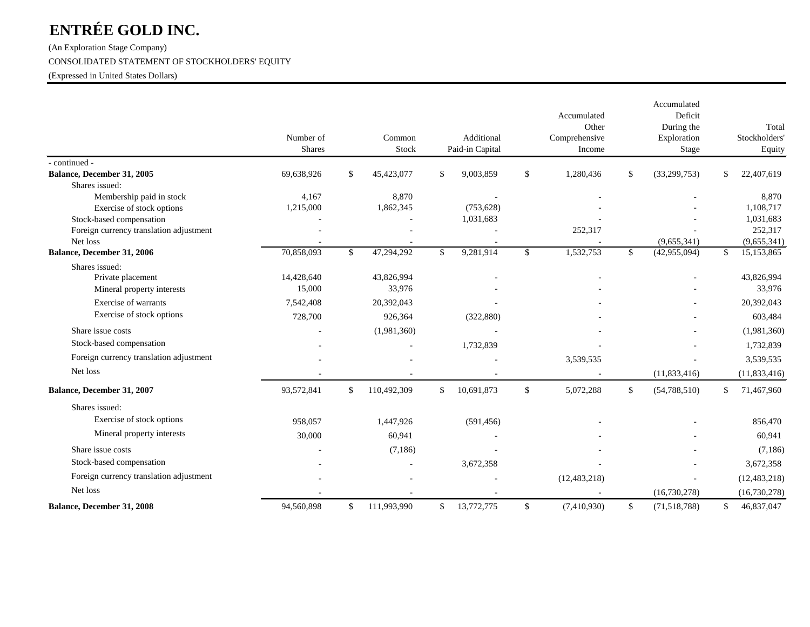(An Exploration Stage Company)

#### CONSOLIDATED STATEMENT OF STOCKHOLDERS' EQUITY

(Expressed in United States Dollars)

|                                         | Number of<br><b>Shares</b> |               | Common<br>Stock | Additional<br>Paid-in Capital |              | Accumulated<br>Other<br>Comprehensive<br>Income |              | Accumulated<br>Deficit<br>During the<br>Exploration<br>Stage |               | Total<br>Stockholders'<br>Equity |
|-----------------------------------------|----------------------------|---------------|-----------------|-------------------------------|--------------|-------------------------------------------------|--------------|--------------------------------------------------------------|---------------|----------------------------------|
| - continued -                           |                            |               |                 |                               |              |                                                 |              |                                                              |               |                                  |
| Balance, December 31, 2005              | 69,638,926                 | <sup>\$</sup> | 45,423,077      | \$<br>9,003,859               | $\mathbb{S}$ | 1,280,436                                       | \$           | (33, 299, 753)                                               | \$            | 22,407,619                       |
| Shares issued:                          |                            |               |                 |                               |              |                                                 |              |                                                              |               |                                  |
| Membership paid in stock                | 4,167                      |               | 8,870           |                               |              |                                                 |              |                                                              |               | 8,870                            |
| Exercise of stock options               | 1,215,000                  |               | 1,862,345       | (753, 628)                    |              |                                                 |              |                                                              |               | 1,108,717                        |
| Stock-based compensation                |                            |               |                 | 1,031,683                     |              |                                                 |              |                                                              |               | 1,031,683                        |
| Foreign currency translation adjustment |                            |               |                 |                               |              | 252,317                                         |              |                                                              |               | 252,317                          |
| Net loss                                |                            |               |                 |                               |              |                                                 |              | (9,655,341)                                                  |               | (9,655,341)                      |
| Balance, December 31, 2006              | 70,858,093                 | \$            | 47,294,292      | \$<br>9,281,914               | $\mathbb{S}$ | 1,532,753                                       | \$           | (42, 955, 094)                                               | <sup>\$</sup> | 15,153,865                       |
| Shares issued:                          |                            |               |                 |                               |              |                                                 |              |                                                              |               |                                  |
| Private placement                       | 14,428,640                 |               | 43,826,994      |                               |              |                                                 |              |                                                              |               | 43,826,994                       |
| Mineral property interests              | 15,000                     |               | 33,976          |                               |              |                                                 |              |                                                              |               | 33,976                           |
| Exercise of warrants                    | 7,542,408                  |               | 20,392,043      |                               |              |                                                 |              |                                                              |               | 20,392,043                       |
| Exercise of stock options               | 728,700                    |               | 926,364         | (322, 880)                    |              |                                                 |              |                                                              |               | 603,484                          |
| Share issue costs                       |                            |               | (1,981,360)     |                               |              |                                                 |              |                                                              |               | (1,981,360)                      |
| Stock-based compensation                |                            |               |                 | 1,732,839                     |              |                                                 |              |                                                              |               | 1,732,839                        |
| Foreign currency translation adjustment |                            |               |                 |                               |              | 3,539,535                                       |              |                                                              |               | 3,539,535                        |
| Net loss                                |                            |               |                 |                               |              |                                                 |              | (11, 833, 416)                                               |               | (11, 833, 416)                   |
| Balance, December 31, 2007              | 93,572,841                 | $\mathbb{S}$  | 110,492,309     | \$<br>10,691,873              | $\mathbb{S}$ | 5,072,288                                       | $\mathbb{S}$ | (54, 788, 510)                                               | \$            | 71,467,960                       |
| Shares issued:                          |                            |               |                 |                               |              |                                                 |              |                                                              |               |                                  |
| Exercise of stock options               | 958,057                    |               | 1,447,926       | (591, 456)                    |              |                                                 |              |                                                              |               | 856,470                          |
| Mineral property interests              | 30,000                     |               | 60,941          |                               |              |                                                 |              |                                                              |               | 60,941                           |
| Share issue costs                       |                            |               | (7,186)         |                               |              |                                                 |              |                                                              |               | (7,186)                          |
| Stock-based compensation                |                            |               |                 | 3,672,358                     |              |                                                 |              |                                                              |               | 3,672,358                        |
| Foreign currency translation adjustment |                            |               |                 |                               |              | (12, 483, 218)                                  |              | ÷,                                                           |               | (12, 483, 218)                   |
| Net loss                                |                            |               |                 |                               |              |                                                 |              | (16,730,278)                                                 |               | (16,730,278)                     |
| Balance, December 31, 2008              | 94,560,898                 | \$            | 111,993,990     | \$<br>13,772,775              | \$           | (7,410,930)                                     | \$           | (71,518,788)                                                 | \$            | 46,837,047                       |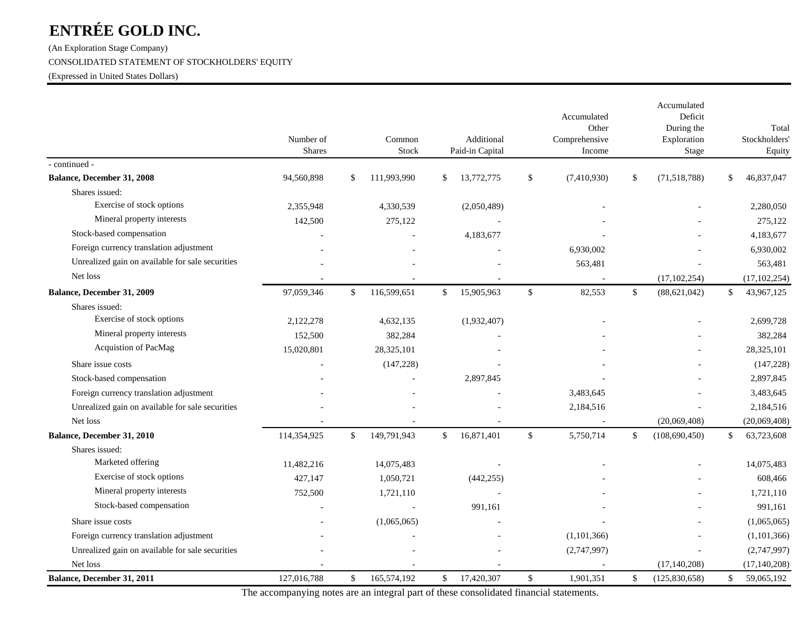(An Exploration Stage Company)

#### CONSOLIDATED STATEMENT OF STOCKHOLDERS' EQUITY

(Expressed in United States Dollars)

|                                                  | Number of     | Common            |              | Additional      |              | Accumulated<br>Other<br>Comprehensive |              | Accumulated<br>Deficit<br>During the<br>Exploration | Total<br>Stockholders' |
|--------------------------------------------------|---------------|-------------------|--------------|-----------------|--------------|---------------------------------------|--------------|-----------------------------------------------------|------------------------|
|                                                  | <b>Shares</b> | Stock             |              | Paid-in Capital |              | Income                                |              | Stage                                               | Equity                 |
| - continued -                                    |               |                   |              |                 |              |                                       |              |                                                     |                        |
| Balance, December 31, 2008                       | 94,560,898    | \$<br>111,993,990 | \$           | 13,772,775      | $\mathbb{S}$ | (7,410,930)                           | \$           | (71.518, 788)                                       | \$<br>46,837,047       |
| Shares issued:                                   |               |                   |              |                 |              |                                       |              |                                                     |                        |
| Exercise of stock options                        | 2,355,948     | 4,330,539         |              | (2,050,489)     |              |                                       |              |                                                     | 2,280,050              |
| Mineral property interests                       | 142,500       | 275,122           |              |                 |              |                                       |              |                                                     | 275.122                |
| Stock-based compensation                         |               |                   |              | 4,183,677       |              |                                       |              |                                                     | 4,183,677              |
| Foreign currency translation adjustment          |               |                   |              |                 |              | 6,930,002                             |              |                                                     | 6,930,002              |
| Unrealized gain on available for sale securities |               |                   |              |                 |              | 563,481                               |              |                                                     | 563,481                |
| Net loss                                         |               |                   |              |                 |              |                                       |              | (17, 102, 254)                                      | (17, 102, 254)         |
| Balance, December 31, 2009                       | 97,059,346    | \$<br>116,599,651 | $\mathbb{S}$ | 15,905,963      | $\mathbb{S}$ | 82,553                                | $\mathbb{S}$ | (88, 621, 042)                                      | \$<br>43,967,125       |
| Shares issued:                                   |               |                   |              |                 |              |                                       |              |                                                     |                        |
| Exercise of stock options                        | 2,122,278     | 4,632,135         |              | (1,932,407)     |              |                                       |              |                                                     | 2,699,728              |
| Mineral property interests                       | 152,500       | 382,284           |              |                 |              |                                       |              |                                                     | 382,284                |
| Acquistion of PacMag                             | 15,020,801    | 28,325,101        |              |                 |              |                                       |              |                                                     | 28,325,101             |
| Share issue costs                                |               | (147, 228)        |              |                 |              |                                       |              |                                                     | (147, 228)             |
| Stock-based compensation                         |               |                   |              | 2,897,845       |              |                                       |              |                                                     | 2,897,845              |
| Foreign currency translation adjustment          |               |                   |              |                 |              | 3,483,645                             |              |                                                     | 3,483,645              |
| Unrealized gain on available for sale securities |               |                   |              |                 |              | 2,184,516                             |              |                                                     | 2,184,516              |
| Net loss                                         |               |                   |              |                 |              |                                       |              | (20,069,408)                                        | (20,069,408)           |
| Balance, December 31, 2010                       | 114,354,925   | \$<br>149,791,943 | $\mathbb{S}$ | 16,871,401      | $\mathbb{S}$ | 5,750,714                             | \$           | (108, 690, 450)                                     | \$<br>63,723,608       |
| Shares issued:                                   |               |                   |              |                 |              |                                       |              |                                                     |                        |
| Marketed offering                                | 11,482,216    | 14,075,483        |              |                 |              |                                       |              |                                                     | 14,075,483             |
| Exercise of stock options                        | 427,147       | 1,050,721         |              | (442, 255)      |              |                                       |              |                                                     | 608,466                |
| Mineral property interests                       | 752,500       | 1,721,110         |              |                 |              |                                       |              |                                                     | 1,721,110              |
| Stock-based compensation                         |               |                   |              | 991,161         |              |                                       |              |                                                     | 991,161                |
| Share issue costs                                |               | (1,065,065)       |              |                 |              |                                       |              |                                                     | (1,065,065)            |
| Foreign currency translation adjustment          |               |                   |              |                 |              | (1,101,366)                           |              |                                                     | (1,101,366)            |
| Unrealized gain on available for sale securities |               |                   |              |                 |              | (2,747,997)                           |              |                                                     | (2,747,997)            |
| Net loss                                         |               |                   |              |                 |              |                                       |              | (17, 140, 208)                                      | (17, 140, 208)         |
| Balance, December 31, 2011                       | 127,016,788   | \$<br>165,574,192 | $\mathbb{S}$ | 17,420,307      | \$           | 1,901,351                             | $\mathbb{S}$ | (125,830,658)                                       | \$<br>59,065,192       |

The accompanying notes are an integral part of these consolidated financial statements.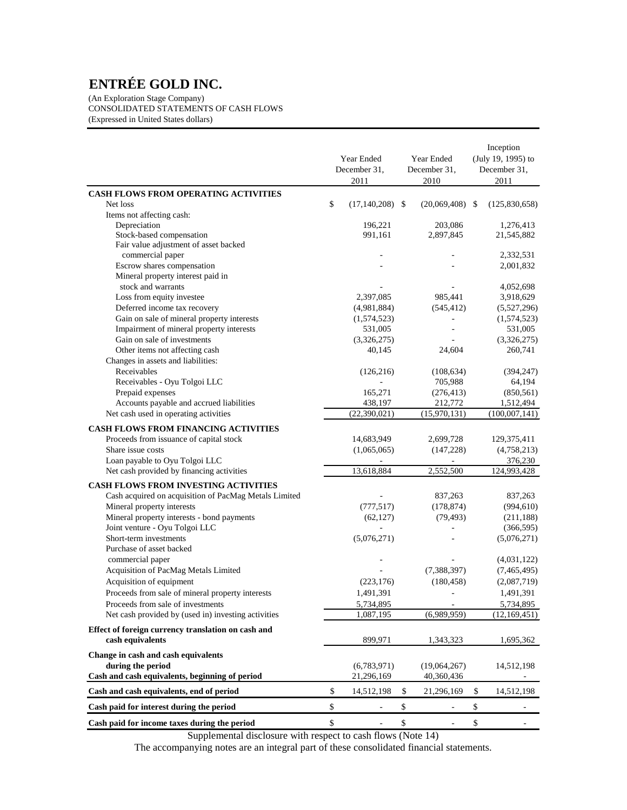(An Exploration Stage Company) CONSOLIDATED STATEMENTS OF CASH FLOWS (Expressed in United States dollars)

|                                                                     |                                |      |                          | Inception                      |
|---------------------------------------------------------------------|--------------------------------|------|--------------------------|--------------------------------|
|                                                                     | Year Ended                     |      | Year Ended               | (July 19, 1995) to             |
|                                                                     | December 31,                   |      | December 31,             | December 31,                   |
|                                                                     | 2011                           |      | 2010                     | 2011                           |
| <b>CASH FLOWS FROM OPERATING ACTIVITIES</b>                         |                                |      |                          |                                |
| Net loss                                                            | \$<br>$(17, 140, 208)$ \$      |      | $(20,069,408)$ \$        | (125, 830, 658)                |
| Items not affecting cash:                                           |                                |      |                          |                                |
| Depreciation<br>Stock-based compensation                            | 196,221<br>991,161             |      | 203,086<br>2,897,845     | 1,276,413<br>21,545,882        |
| Fair value adjustment of asset backed                               |                                |      |                          |                                |
| commercial paper                                                    |                                |      |                          | 2,332,531                      |
| Escrow shares compensation                                          |                                |      |                          | 2,001,832                      |
| Mineral property interest paid in                                   |                                |      |                          |                                |
| stock and warrants                                                  |                                |      |                          | 4,052,698                      |
| Loss from equity investee                                           | 2,397,085                      |      | 985,441                  | 3,918,629                      |
| Deferred income tax recovery                                        | (4,981,884)                    |      | (545, 412)               | (5,527,296)                    |
| Gain on sale of mineral property interests                          | (1,574,523)                    |      | 4                        | (1,574,523)                    |
| Impairment of mineral property interests                            | 531,005                        |      |                          | 531,005                        |
| Gain on sale of investments                                         | (3,326,275)                    |      |                          | (3,326,275)                    |
| Other items not affecting cash                                      | 40,145                         |      | 24,604                   | 260,741                        |
| Changes in assets and liabilities:                                  |                                |      |                          |                                |
| Receivables                                                         | (126, 216)                     |      | (108, 634)               | (394, 247)                     |
| Receivables - Oyu Tolgoi LLC                                        |                                |      | 705,988                  | 64,194                         |
| Prepaid expenses                                                    | 165,271                        |      | (276, 413)               | (850, 561)                     |
| Accounts payable and accrued liabilities                            | 438,197                        |      | 212,772                  | 1,512,494                      |
| Net cash used in operating activities                               | (22, 390, 021)                 |      | (15,970,131)             | (100,007,141)                  |
|                                                                     |                                |      |                          |                                |
| <b>CASH FLOWS FROM FINANCING ACTIVITIES</b>                         |                                |      |                          |                                |
| Proceeds from issuance of capital stock                             | 14,683,949                     |      | 2,699,728                | 129,375,411                    |
| Share issue costs                                                   | (1,065,065)                    |      | (147, 228)               | (4,758,213)                    |
| Loan payable to Oyu Tolgoi LLC                                      | L,                             |      | ÷,                       | 376,230                        |
| Net cash provided by financing activities                           | 13,618,884                     |      | 2,552,500                | 124,993,428                    |
| <b>CASH FLOWS FROM INVESTING ACTIVITIES</b>                         |                                |      |                          |                                |
| Cash acquired on acquisition of PacMag Metals Limited               |                                |      | 837,263                  | 837,263                        |
| Mineral property interests                                          | (777, 517)                     |      | (178, 874)               | (994, 610)                     |
| Mineral property interests - bond payments                          | (62, 127)                      |      | (79, 493)                | (211, 188)                     |
| Joint venture - Oyu Tolgoi LLC                                      |                                |      |                          | (366, 595)                     |
| Short-term investments                                              | (5,076,271)                    |      |                          | (5,076,271)                    |
| Purchase of asset backed                                            |                                |      |                          |                                |
| commercial paper                                                    |                                |      |                          | (4,031,122)                    |
| Acquisition of PacMag Metals Limited                                |                                |      | (7,388,397)              | (7,465,495)                    |
| Acquisition of equipment                                            | (223, 176)                     |      | (180, 458)               | (2,087,719)                    |
| Proceeds from sale of mineral property interests                    | 1,491,391                      |      | $\overline{\phantom{a}}$ | 1,491,391                      |
| Proceeds from sale of investments                                   | 5,734,895                      |      |                          | 5,734,895                      |
| Net cash provided by (used in) investing activities                 | 1,087,195                      |      | (6,989,959)              | (12, 169, 451)                 |
| Effect of foreign currency translation on cash and                  |                                |      |                          |                                |
| cash equivalents                                                    | 899,971                        |      | 1,343,323                | 1,695,362                      |
|                                                                     |                                |      |                          |                                |
| Change in cash and cash equivalents                                 |                                |      |                          |                                |
| during the period<br>Cash and cash equivalents, beginning of period | (6,783,971)<br>21,296,169      |      | (19,064,267)             | 14,512,198                     |
| Cash and cash equivalents, end of period                            | \$<br>14,512,198               | \$   | 40,360,436<br>21,296,169 | \$<br>14,512,198               |
| Cash paid for interest during the period                            | \$<br>$\overline{\phantom{a}}$ | $\$$ | $\overline{\phantom{a}}$ | \$<br>$\overline{\phantom{a}}$ |
|                                                                     | \$                             | $\$$ |                          | \$                             |
| Cash paid for income taxes during the period                        | $\blacksquare$                 |      | $\overline{\phantom{a}}$ | $\overline{\phantom{a}}$       |

Supplemental disclosure with respect to cash flows (Note 14)

The accompanying notes are an integral part of these consolidated financial statements.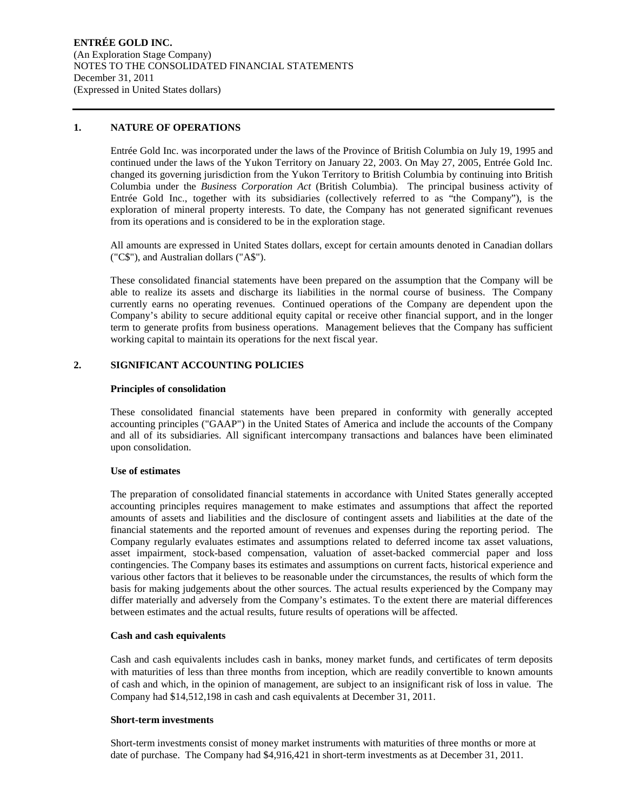#### **1. NATURE OF OPERATIONS**

Entrée Gold Inc. was incorporated under the laws of the Province of British Columbia on July 19, 1995 and continued under the laws of the Yukon Territory on January 22, 2003. On May 27, 2005, Entrée Gold Inc. changed its governing jurisdiction from the Yukon Territory to British Columbia by continuing into British Columbia under the *Business Corporation Act* (British Columbia). The principal business activity of Entrée Gold Inc., together with its subsidiaries (collectively referred to as "the Company"), is the exploration of mineral property interests. To date, the Company has not generated significant revenues from its operations and is considered to be in the exploration stage.

All amounts are expressed in United States dollars, except for certain amounts denoted in Canadian dollars ("C\$"), and Australian dollars ("A\$").

These consolidated financial statements have been prepared on the assumption that the Company will be able to realize its assets and discharge its liabilities in the normal course of business. The Company currently earns no operating revenues. Continued operations of the Company are dependent upon the Company's ability to secure additional equity capital or receive other financial support, and in the longer term to generate profits from business operations. Management believes that the Company has sufficient working capital to maintain its operations for the next fiscal year.

#### **2. SIGNIFICANT ACCOUNTING POLICIES**

#### **Principles of consolidation**

These consolidated financial statements have been prepared in conformity with generally accepted accounting principles ("GAAP") in the United States of America and include the accounts of the Company and all of its subsidiaries. All significant intercompany transactions and balances have been eliminated upon consolidation.

#### **Use of estimates**

The preparation of consolidated financial statements in accordance with United States generally accepted accounting principles requires management to make estimates and assumptions that affect the reported amounts of assets and liabilities and the disclosure of contingent assets and liabilities at the date of the financial statements and the reported amount of revenues and expenses during the reporting period. The Company regularly evaluates estimates and assumptions related to deferred income tax asset valuations, asset impairment, stock-based compensation, valuation of asset-backed commercial paper and loss contingencies. The Company bases its estimates and assumptions on current facts, historical experience and various other factors that it believes to be reasonable under the circumstances, the results of which form the basis for making judgements about the other sources. The actual results experienced by the Company may differ materially and adversely from the Company's estimates. To the extent there are material differences between estimates and the actual results, future results of operations will be affected.

#### **Cash and cash equivalents**

Cash and cash equivalents includes cash in banks, money market funds, and certificates of term deposits with maturities of less than three months from inception, which are readily convertible to known amounts of cash and which, in the opinion of management, are subject to an insignificant risk of loss in value. The Company had \$14,512,198 in cash and cash equivalents at December 31, 2011.

#### **Short-term investments**

Short-term investments consist of money market instruments with maturities of three months or more at date of purchase. The Company had \$4,916,421 in short-term investments as at December 31, 2011.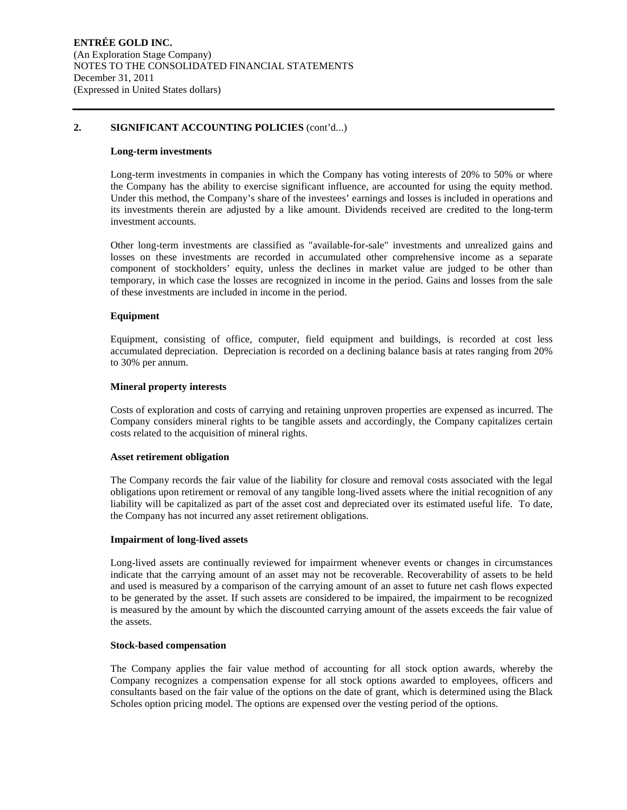#### **2. SIGNIFICANT ACCOUNTING POLICIES** (cont'd...)

#### **Long-term investments**

Long-term investments in companies in which the Company has voting interests of 20% to 50% or where the Company has the ability to exercise significant influence, are accounted for using the equity method. Under this method, the Company's share of the investees' earnings and losses is included in operations and its investments therein are adjusted by a like amount. Dividends received are credited to the long-term investment accounts.

Other long-term investments are classified as "available-for-sale" investments and unrealized gains and losses on these investments are recorded in accumulated other comprehensive income as a separate component of stockholders' equity, unless the declines in market value are judged to be other than temporary, in which case the losses are recognized in income in the period. Gains and losses from the sale of these investments are included in income in the period.

#### **Equipment**

Equipment, consisting of office, computer, field equipment and buildings, is recorded at cost less accumulated depreciation. Depreciation is recorded on a declining balance basis at rates ranging from 20% to 30% per annum.

#### **Mineral property interests**

Costs of exploration and costs of carrying and retaining unproven properties are expensed as incurred. The Company considers mineral rights to be tangible assets and accordingly, the Company capitalizes certain costs related to the acquisition of mineral rights.

#### **Asset retirement obligation**

The Company records the fair value of the liability for closure and removal costs associated with the legal obligations upon retirement or removal of any tangible long-lived assets where the initial recognition of any liability will be capitalized as part of the asset cost and depreciated over its estimated useful life. To date, the Company has not incurred any asset retirement obligations.

#### **Impairment of long-lived assets**

Long-lived assets are continually reviewed for impairment whenever events or changes in circumstances indicate that the carrying amount of an asset may not be recoverable. Recoverability of assets to be held and used is measured by a comparison of the carrying amount of an asset to future net cash flows expected to be generated by the asset. If such assets are considered to be impaired, the impairment to be recognized is measured by the amount by which the discounted carrying amount of the assets exceeds the fair value of the assets.

#### **Stock-based compensation**

The Company applies the fair value method of accounting for all stock option awards, whereby the Company recognizes a compensation expense for all stock options awarded to employees, officers and consultants based on the fair value of the options on the date of grant, which is determined using the Black Scholes option pricing model. The options are expensed over the vesting period of the options.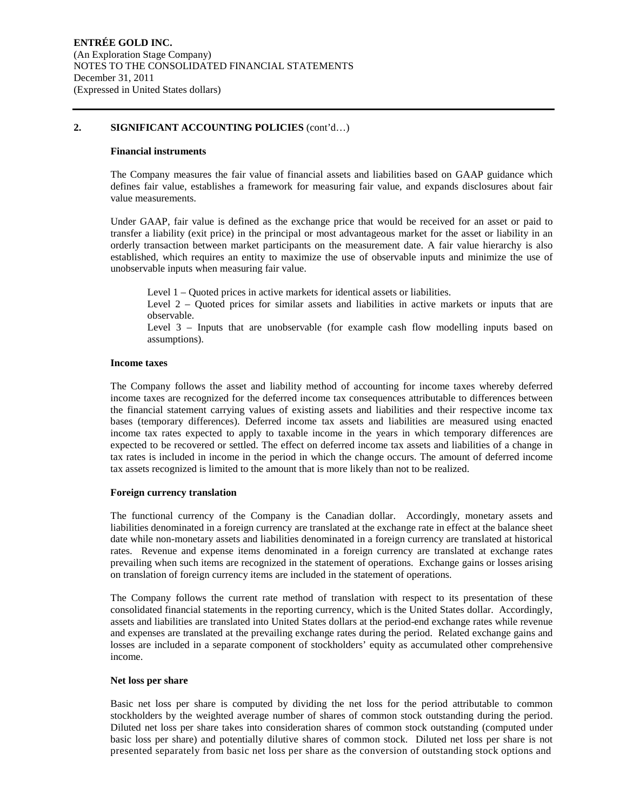#### **2. SIGNIFICANT ACCOUNTING POLICIES** (cont'd…)

#### **Financial instruments**

The Company measures the fair value of financial assets and liabilities based on GAAP guidance which defines fair value, establishes a framework for measuring fair value, and expands disclosures about fair value measurements.

Under GAAP, fair value is defined as the exchange price that would be received for an asset or paid to transfer a liability (exit price) in the principal or most advantageous market for the asset or liability in an orderly transaction between market participants on the measurement date. A fair value hierarchy is also established, which requires an entity to maximize the use of observable inputs and minimize the use of unobservable inputs when measuring fair value.

Level 1 – Quoted prices in active markets for identical assets or liabilities.

Level 2 – Quoted prices for similar assets and liabilities in active markets or inputs that are observable.

Level 3 – Inputs that are unobservable (for example cash flow modelling inputs based on assumptions).

#### **Income taxes**

The Company follows the asset and liability method of accounting for income taxes whereby deferred income taxes are recognized for the deferred income tax consequences attributable to differences between the financial statement carrying values of existing assets and liabilities and their respective income tax bases (temporary differences). Deferred income tax assets and liabilities are measured using enacted income tax rates expected to apply to taxable income in the years in which temporary differences are expected to be recovered or settled. The effect on deferred income tax assets and liabilities of a change in tax rates is included in income in the period in which the change occurs. The amount of deferred income tax assets recognized is limited to the amount that is more likely than not to be realized.

#### **Foreign currency translation**

The functional currency of the Company is the Canadian dollar. Accordingly, monetary assets and liabilities denominated in a foreign currency are translated at the exchange rate in effect at the balance sheet date while non-monetary assets and liabilities denominated in a foreign currency are translated at historical rates. Revenue and expense items denominated in a foreign currency are translated at exchange rates prevailing when such items are recognized in the statement of operations. Exchange gains or losses arising on translation of foreign currency items are included in the statement of operations.

The Company follows the current rate method of translation with respect to its presentation of these consolidated financial statements in the reporting currency, which is the United States dollar. Accordingly, assets and liabilities are translated into United States dollars at the period-end exchange rates while revenue and expenses are translated at the prevailing exchange rates during the period. Related exchange gains and losses are included in a separate component of stockholders' equity as accumulated other comprehensive income.

#### **Net loss per share**

Basic net loss per share is computed by dividing the net loss for the period attributable to common stockholders by the weighted average number of shares of common stock outstanding during the period. Diluted net loss per share takes into consideration shares of common stock outstanding (computed under basic loss per share) and potentially dilutive shares of common stock. Diluted net loss per share is not presented separately from basic net loss per share as the conversion of outstanding stock options and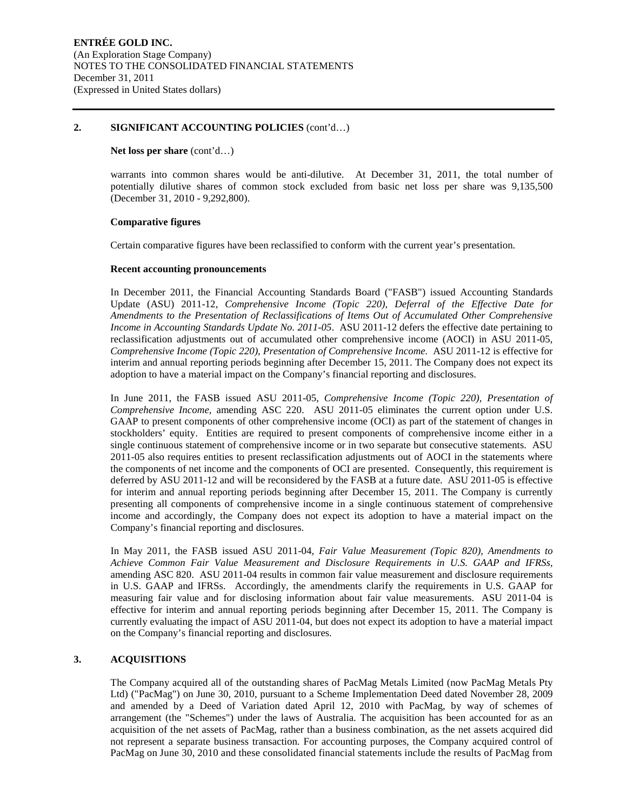#### **2. SIGNIFICANT ACCOUNTING POLICIES** (cont'd…)

#### **Net loss per share** (cont'd…)

warrants into common shares would be anti-dilutive. At December 31, 2011, the total number of potentially dilutive shares of common stock excluded from basic net loss per share was 9,135,500 (December 31, 2010 - 9,292,800).

#### **Comparative figures**

Certain comparative figures have been reclassified to conform with the current year's presentation.

#### **Recent accounting pronouncements**

In December 2011, the Financial Accounting Standards Board ("FASB") issued Accounting Standards Update (ASU) 2011-12, *Comprehensive Income (Topic 220), Deferral of the Effective Date for Amendments to the Presentation of Reclassifications of Items Out of Accumulated Other Comprehensive Income in Accounting Standards Update No. 2011-05*. ASU 2011-12 defers the effective date pertaining to reclassification adjustments out of accumulated other comprehensive income (AOCI) in ASU 2011-05, *Comprehensive Income (Topic 220), Presentation of Comprehensive Income.* ASU 2011-12 is effective for interim and annual reporting periods beginning after December 15, 2011. The Company does not expect its adoption to have a material impact on the Company's financial reporting and disclosures.

In June 2011, the FASB issued ASU 2011-05, *Comprehensive Income (Topic 220), Presentation of Comprehensive Income,* amending ASC 220. ASU 2011-05 eliminates the current option under U.S. GAAP to present components of other comprehensive income (OCI) as part of the statement of changes in stockholders' equity. Entities are required to present components of comprehensive income either in a single continuous statement of comprehensive income or in two separate but consecutive statements. ASU 2011-05 also requires entities to present reclassification adjustments out of AOCI in the statements where the components of net income and the components of OCI are presented. Consequently, this requirement is deferred by ASU 2011-12 and will be reconsidered by the FASB at a future date. ASU 2011-05 is effective for interim and annual reporting periods beginning after December 15, 2011. The Company is currently presenting all components of comprehensive income in a single continuous statement of comprehensive income and accordingly, the Company does not expect its adoption to have a material impact on the Company's financial reporting and disclosures.

In May 2011, the FASB issued ASU 2011-04, *Fair Value Measurement (Topic 820), Amendments to Achieve Common Fair Value Measurement and Disclosure Requirements in U.S. GAAP and IFRSs,*  amending ASC 820. ASU 2011-04 results in common fair value measurement and disclosure requirements in U.S. GAAP and IFRSs. Accordingly, the amendments clarify the requirements in U.S. GAAP for measuring fair value and for disclosing information about fair value measurements. ASU 2011-04 is effective for interim and annual reporting periods beginning after December 15, 2011. The Company is currently evaluating the impact of ASU 2011-04, but does not expect its adoption to have a material impact on the Company's financial reporting and disclosures.

#### **3. ACQUISITIONS**

The Company acquired all of the outstanding shares of PacMag Metals Limited (now PacMag Metals Pty Ltd) ("PacMag") on June 30, 2010, pursuant to a Scheme Implementation Deed dated November 28, 2009 and amended by a Deed of Variation dated April 12, 2010 with PacMag, by way of schemes of arrangement (the "Schemes") under the laws of Australia. The acquisition has been accounted for as an acquisition of the net assets of PacMag, rather than a business combination, as the net assets acquired did not represent a separate business transaction. For accounting purposes, the Company acquired control of PacMag on June 30, 2010 and these consolidated financial statements include the results of PacMag from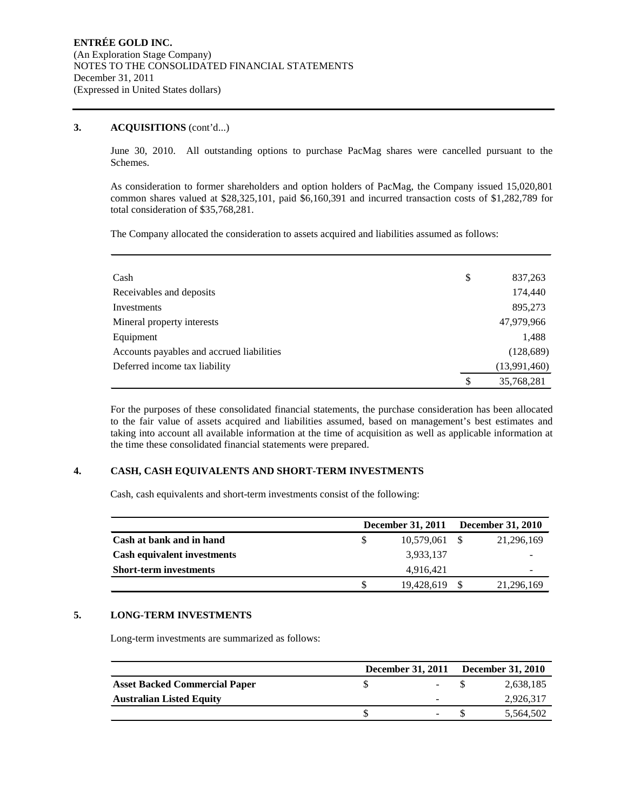#### **3. ACQUISITIONS** (cont'd...)

June 30, 2010. All outstanding options to purchase PacMag shares were cancelled pursuant to the Schemes.

As consideration to former shareholders and option holders of PacMag, the Company issued 15,020,801 common shares valued at \$28,325,101, paid \$6,160,391 and incurred transaction costs of \$1,282,789 for total consideration of \$35,768,281.

The Company allocated the consideration to assets acquired and liabilities assumed as follows:

| Cash                                      | \$<br>837,263    |
|-------------------------------------------|------------------|
| Receivables and deposits                  | 174,440          |
| Investments                               | 895,273          |
| Mineral property interests                | 47,979,966       |
| Equipment                                 | 1,488            |
| Accounts payables and accrued liabilities | (128, 689)       |
| Deferred income tax liability             | (13,991,460)     |
|                                           | \$<br>35,768,281 |

For the purposes of these consolidated financial statements, the purchase consideration has been allocated to the fair value of assets acquired and liabilities assumed, based on management's best estimates and taking into account all available information at the time of acquisition as well as applicable information at the time these consolidated financial statements were prepared.

#### **4. CASH, CASH EQUIVALENTS AND SHORT-TERM INVESTMENTS**

Cash, cash equivalents and short-term investments consist of the following:

|                                    | December 31, 2011 December 31, 2010 |            |
|------------------------------------|-------------------------------------|------------|
| Cash at bank and in hand           | 10.579.061 \$                       | 21,296,169 |
| <b>Cash equivalent investments</b> | 3,933,137                           |            |
| <b>Short-term investments</b>      | 4.916.421                           |            |
|                                    | 19,428,619 \$                       | 21,296,169 |

#### **5. LONG-TERM INVESTMENTS**

Long-term investments are summarized as follows:

|                                      |   | December 31, 2011 December 31, 2010 |
|--------------------------------------|---|-------------------------------------|
| <b>Asset Backed Commercial Paper</b> |   | 2,638,185                           |
| <b>Australian Listed Equity</b>      | - | 2,926,317                           |
|                                      |   | 5.564.502                           |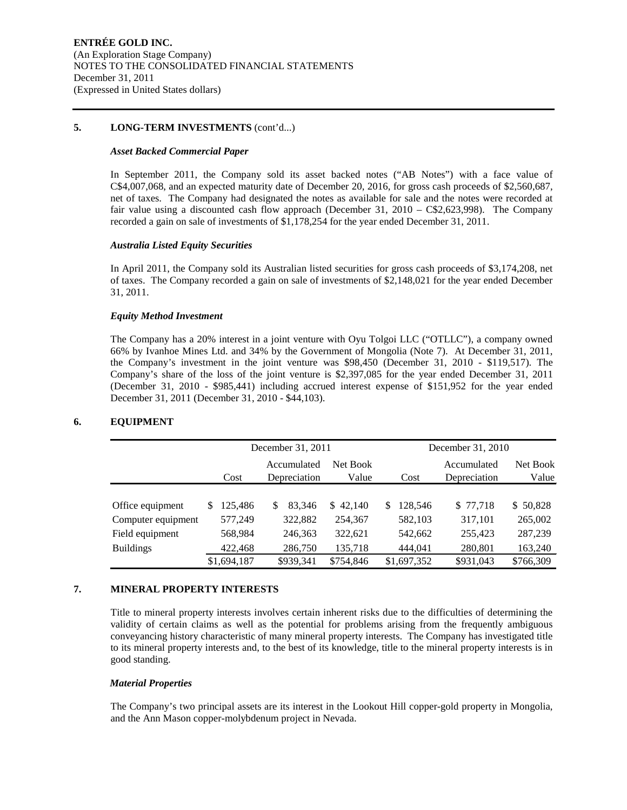#### **5. LONG-TERM INVESTMENTS** (cont'd...)

#### *Asset Backed Commercial Paper*

In September 2011, the Company sold its asset backed notes ("AB Notes") with a face value of C\$4,007,068, and an expected maturity date of December 20, 2016, for gross cash proceeds of \$2,560,687, net of taxes. The Company had designated the notes as available for sale and the notes were recorded at fair value using a discounted cash flow approach (December 31, 2010 – C\$2,623,998). The Company recorded a gain on sale of investments of \$1,178,254 for the year ended December 31, 2011.

#### *Australia Listed Equity Securities*

In April 2011, the Company sold its Australian listed securities for gross cash proceeds of \$3,174,208, net of taxes. The Company recorded a gain on sale of investments of \$2,148,021 for the year ended December 31, 2011.

#### *Equity Method Investment*

The Company has a 20% interest in a joint venture with Oyu Tolgoi LLC ("OTLLC"), a company owned 66% by Ivanhoe Mines Ltd. and 34% by the Government of Mongolia (Note 7). At December 31, 2011, the Company's investment in the joint venture was \$98,450 (December 31, 2010 - \$119,517). The Company's share of the loss of the joint venture is \$2,397,085 for the year ended December 31, 2011 (December 31, 2010 - \$985,441) including accrued interest expense of \$151,952 for the year ended December 31, 2011 (December 31, 2010 - \$44,103).

|                    |                | December 31, 2011           |                   |              | December 31, 2010           |                   |  |  |  |  |
|--------------------|----------------|-----------------------------|-------------------|--------------|-----------------------------|-------------------|--|--|--|--|
|                    | Cost           | Accumulated<br>Depreciation | Net Book<br>Value | Cost         | Accumulated<br>Depreciation | Net Book<br>Value |  |  |  |  |
|                    |                |                             |                   |              |                             |                   |  |  |  |  |
| Office equipment   | 125.486<br>\$. | 83.346<br>S                 | \$42.140          | S<br>128.546 | \$77,718                    | \$50,828          |  |  |  |  |
| Computer equipment | 577,249        | 322,882                     | 254.367           | 582,103      | 317,101                     | 265,002           |  |  |  |  |
| Field equipment    | 568,984        | 246,363                     | 322,621           | 542,662      | 255,423                     | 287,239           |  |  |  |  |
| <b>Buildings</b>   | 422,468        | 286,750                     | 135,718           | 444,041      | 280,801                     | 163,240           |  |  |  |  |
|                    | \$1,694,187    | \$939,341                   | \$754,846         | \$1,697,352  | \$931,043                   | \$766,309         |  |  |  |  |

#### **6. EQUIPMENT**

#### **7. MINERAL PROPERTY INTERESTS**

Title to mineral property interests involves certain inherent risks due to the difficulties of determining the validity of certain claims as well as the potential for problems arising from the frequently ambiguous conveyancing history characteristic of many mineral property interests. The Company has investigated title to its mineral property interests and, to the best of its knowledge, title to the mineral property interests is in good standing.

#### *Material Properties*

The Company's two principal assets are its interest in the Lookout Hill copper-gold property in Mongolia, and the Ann Mason copper-molybdenum project in Nevada.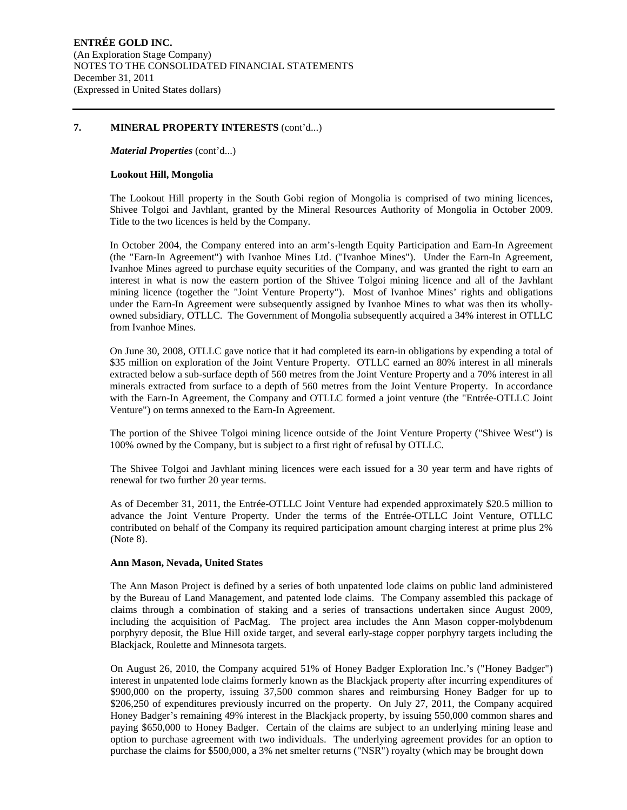#### **7. MINERAL PROPERTY INTERESTS** (cont'd...)

*Material Properties* (cont'd...)

#### **Lookout Hill, Mongolia**

The Lookout Hill property in the South Gobi region of Mongolia is comprised of two mining licences, Shivee Tolgoi and Javhlant, granted by the Mineral Resources Authority of Mongolia in October 2009. Title to the two licences is held by the Company.

In October 2004, the Company entered into an arm's-length Equity Participation and Earn-In Agreement (the "Earn-In Agreement") with Ivanhoe Mines Ltd. ("Ivanhoe Mines"). Under the Earn-In Agreement, Ivanhoe Mines agreed to purchase equity securities of the Company, and was granted the right to earn an interest in what is now the eastern portion of the Shivee Tolgoi mining licence and all of the Javhlant mining licence (together the "Joint Venture Property"). Most of Ivanhoe Mines' rights and obligations under the Earn-In Agreement were subsequently assigned by Ivanhoe Mines to what was then its whollyowned subsidiary, OTLLC. The Government of Mongolia subsequently acquired a 34% interest in OTLLC from Ivanhoe Mines.

On June 30, 2008, OTLLC gave notice that it had completed its earn-in obligations by expending a total of \$35 million on exploration of the Joint Venture Property. OTLLC earned an 80% interest in all minerals extracted below a sub-surface depth of 560 metres from the Joint Venture Property and a 70% interest in all minerals extracted from surface to a depth of 560 metres from the Joint Venture Property. In accordance with the Earn-In Agreement, the Company and OTLLC formed a joint venture (the "Entrée-OTLLC Joint Venture") on terms annexed to the Earn-In Agreement.

The portion of the Shivee Tolgoi mining licence outside of the Joint Venture Property ("Shivee West") is 100% owned by the Company, but is subject to a first right of refusal by OTLLC.

The Shivee Tolgoi and Javhlant mining licences were each issued for a 30 year term and have rights of renewal for two further 20 year terms.

As of December 31, 2011, the Entrée-OTLLC Joint Venture had expended approximately \$20.5 million to advance the Joint Venture Property. Under the terms of the Entrée-OTLLC Joint Venture, OTLLC contributed on behalf of the Company its required participation amount charging interest at prime plus 2% (Note 8).

#### **Ann Mason, Nevada, United States**

The Ann Mason Project is defined by a series of both unpatented lode claims on public land administered by the Bureau of Land Management, and patented lode claims. The Company assembled this package of claims through a combination of staking and a series of transactions undertaken since August 2009, including the acquisition of PacMag. The project area includes the Ann Mason copper-molybdenum porphyry deposit, the Blue Hill oxide target, and several early-stage copper porphyry targets including the Blackjack, Roulette and Minnesota targets.

On August 26, 2010, the Company acquired 51% of Honey Badger Exploration Inc.'s ("Honey Badger") interest in unpatented lode claims formerly known as the Blackjack property after incurring expenditures of \$900,000 on the property, issuing 37,500 common shares and reimbursing Honey Badger for up to \$206,250 of expenditures previously incurred on the property. On July 27, 2011, the Company acquired Honey Badger's remaining 49% interest in the Blackjack property, by issuing 550,000 common shares and paying \$650,000 to Honey Badger. Certain of the claims are subject to an underlying mining lease and option to purchase agreement with two individuals. The underlying agreement provides for an option to purchase the claims for \$500,000, a 3% net smelter returns ("NSR") royalty (which may be brought down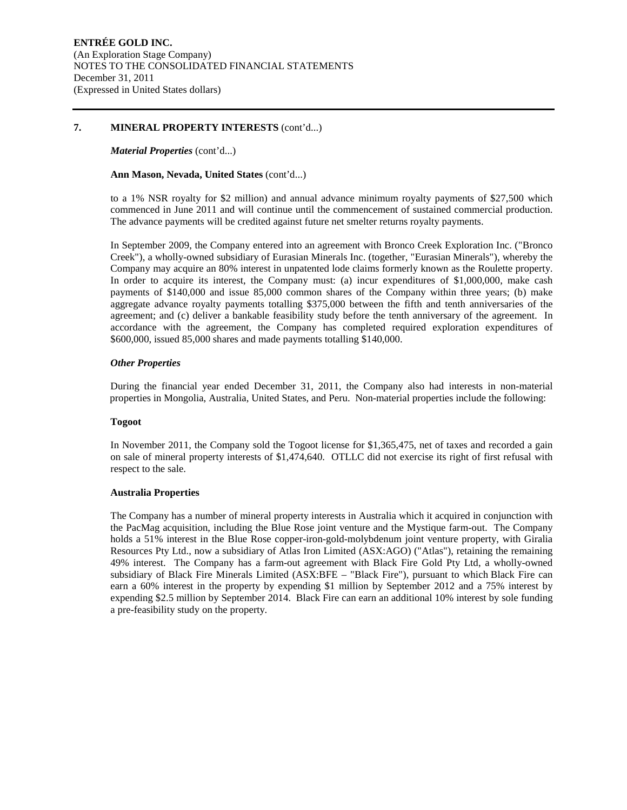#### **7. MINERAL PROPERTY INTERESTS** (cont'd...)

#### *Material Properties* (cont'd...)

#### **Ann Mason, Nevada, United States** (cont'd...)

to a 1% NSR royalty for \$2 million) and annual advance minimum royalty payments of \$27,500 which commenced in June 2011 and will continue until the commencement of sustained commercial production. The advance payments will be credited against future net smelter returns royalty payments.

In September 2009, the Company entered into an agreement with Bronco Creek Exploration Inc. ("Bronco Creek"), a wholly-owned subsidiary of Eurasian Minerals Inc. (together, "Eurasian Minerals"), whereby the Company may acquire an 80% interest in unpatented lode claims formerly known as the Roulette property. In order to acquire its interest, the Company must: (a) incur expenditures of \$1,000,000, make cash payments of \$140,000 and issue 85,000 common shares of the Company within three years; (b) make aggregate advance royalty payments totalling \$375,000 between the fifth and tenth anniversaries of the agreement; and (c) deliver a bankable feasibility study before the tenth anniversary of the agreement. In accordance with the agreement, the Company has completed required exploration expenditures of \$600,000, issued 85,000 shares and made payments totalling \$140,000.

#### *Other Properties*

During the financial year ended December 31, 2011, the Company also had interests in non-material properties in Mongolia, Australia, United States, and Peru. Non-material properties include the following:

#### **Togoot**

In November 2011, the Company sold the Togoot license for \$1,365,475, net of taxes and recorded a gain on sale of mineral property interests of \$1,474,640. OTLLC did not exercise its right of first refusal with respect to the sale.

#### **Australia Properties**

The Company has a number of mineral property interests in Australia which it acquired in conjunction with the PacMag acquisition, including the Blue Rose joint venture and the Mystique farm-out. The Company holds a 51% interest in the Blue Rose copper-iron-gold-molybdenum joint venture property, with Giralia Resources Pty Ltd., now a subsidiary of Atlas Iron Limited (ASX:AGO) ("Atlas"), retaining the remaining 49% interest. The Company has a farm-out agreement with Black Fire Gold Pty Ltd, a wholly-owned subsidiary of Black Fire Minerals Limited (ASX:BFE – "Black Fire"), pursuant to which Black Fire can earn a 60% interest in the property by expending \$1 million by September 2012 and a 75% interest by expending \$2.5 million by September 2014. Black Fire can earn an additional 10% interest by sole funding a pre-feasibility study on the property.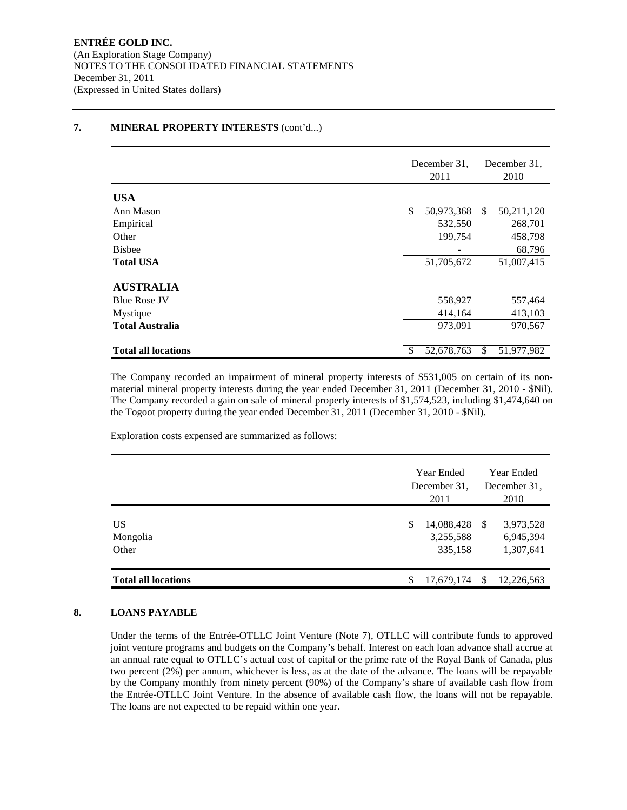#### December 31, 2011 December 31, 2010 **USA** Ann Mason **6 50,973,368** \$ 50,973,368 \$ 50,211,120 Empirical 532,550 268,701 Other 199,754 458,798 Bisbee  $\sim$  68,796 **Total USA** 51,705,672 51,007,415 **AUSTRALIA** Blue Rose JV 558,927 557,464 Mystique 413,103 **Total Australia** 973,091 970,567 **Total all locations** \$ 52,678,763 \$ 51,977,982

#### **7. MINERAL PROPERTY INTERESTS** (cont'd...)

The Company recorded an impairment of mineral property interests of \$531,005 on certain of its nonmaterial mineral property interests during the year ended December 31, 2011 (December 31, 2010 - \$Nil). The Company recorded a gain on sale of mineral property interests of \$1,574,523, including \$1,474,640 on the Togoot property during the year ended December 31, 2011 (December 31, 2010 - \$Nil).

Exploration costs expensed are summarized as follows:

|                                      |   | <b>Year Ended</b><br>December 31.<br>2011 |    | Year Ended<br>December 31.<br>2010  |  |  |
|--------------------------------------|---|-------------------------------------------|----|-------------------------------------|--|--|
| US <sup>-</sup><br>Mongolia<br>Other | S | 14,088,428 \$<br>3,255,588<br>335,158     |    | 3,973,528<br>6,945,394<br>1,307,641 |  |  |
| <b>Total all locations</b>           | S | 17,679,174                                | -S | 12,226,563                          |  |  |

#### **8. LOANS PAYABLE**

Under the terms of the Entrée-OTLLC Joint Venture (Note 7), OTLLC will contribute funds to approved joint venture programs and budgets on the Company's behalf. Interest on each loan advance shall accrue at an annual rate equal to OTLLC's actual cost of capital or the prime rate of the Royal Bank of Canada, plus two percent (2%) per annum, whichever is less, as at the date of the advance. The loans will be repayable by the Company monthly from ninety percent (90%) of the Company's share of available cash flow from the Entrée-OTLLC Joint Venture. In the absence of available cash flow, the loans will not be repayable. The loans are not expected to be repaid within one year.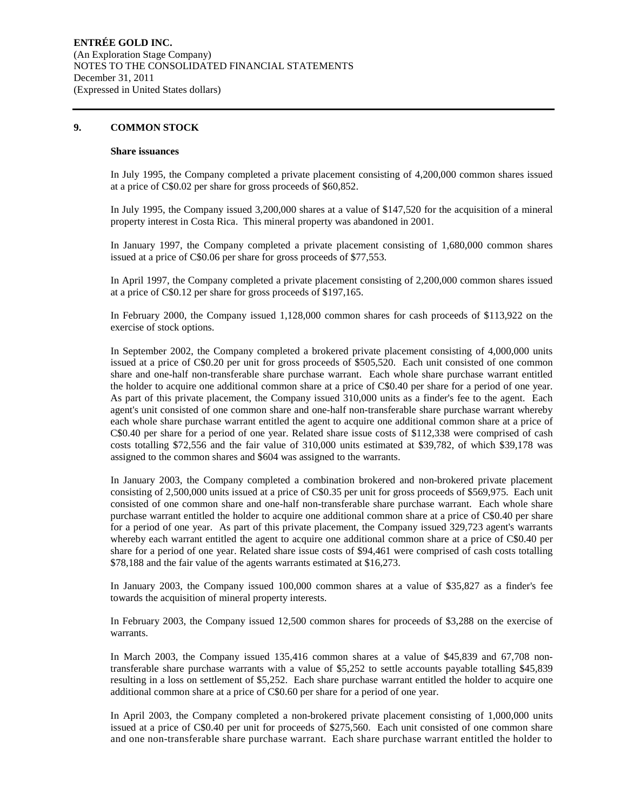#### **9. COMMON STOCK**

#### **Share issuances**

In July 1995, the Company completed a private placement consisting of 4,200,000 common shares issued at a price of C\$0.02 per share for gross proceeds of \$60,852.

In July 1995, the Company issued 3,200,000 shares at a value of \$147,520 for the acquisition of a mineral property interest in Costa Rica. This mineral property was abandoned in 2001.

In January 1997, the Company completed a private placement consisting of 1,680,000 common shares issued at a price of C\$0.06 per share for gross proceeds of \$77,553.

In April 1997, the Company completed a private placement consisting of 2,200,000 common shares issued at a price of C\$0.12 per share for gross proceeds of \$197,165.

In February 2000, the Company issued 1,128,000 common shares for cash proceeds of \$113,922 on the exercise of stock options.

In September 2002, the Company completed a brokered private placement consisting of 4,000,000 units issued at a price of C\$0.20 per unit for gross proceeds of \$505,520. Each unit consisted of one common share and one-half non-transferable share purchase warrant. Each whole share purchase warrant entitled the holder to acquire one additional common share at a price of C\$0.40 per share for a period of one year. As part of this private placement, the Company issued 310,000 units as a finder's fee to the agent. Each agent's unit consisted of one common share and one-half non-transferable share purchase warrant whereby each whole share purchase warrant entitled the agent to acquire one additional common share at a price of C\$0.40 per share for a period of one year. Related share issue costs of \$112,338 were comprised of cash costs totalling \$72,556 and the fair value of 310,000 units estimated at \$39,782, of which \$39,178 was assigned to the common shares and \$604 was assigned to the warrants.

In January 2003, the Company completed a combination brokered and non-brokered private placement consisting of 2,500,000 units issued at a price of C\$0.35 per unit for gross proceeds of \$569,975. Each unit consisted of one common share and one-half non-transferable share purchase warrant. Each whole share purchase warrant entitled the holder to acquire one additional common share at a price of C\$0.40 per share for a period of one year. As part of this private placement, the Company issued 329,723 agent's warrants whereby each warrant entitled the agent to acquire one additional common share at a price of C\$0.40 per share for a period of one year. Related share issue costs of \$94,461 were comprised of cash costs totalling \$78,188 and the fair value of the agents warrants estimated at \$16,273.

In January 2003, the Company issued 100,000 common shares at a value of \$35,827 as a finder's fee towards the acquisition of mineral property interests.

In February 2003, the Company issued 12,500 common shares for proceeds of \$3,288 on the exercise of warrants.

In March 2003, the Company issued 135,416 common shares at a value of \$45,839 and 67,708 nontransferable share purchase warrants with a value of \$5,252 to settle accounts payable totalling \$45,839 resulting in a loss on settlement of \$5,252. Each share purchase warrant entitled the holder to acquire one additional common share at a price of C\$0.60 per share for a period of one year.

In April 2003, the Company completed a non-brokered private placement consisting of 1,000,000 units issued at a price of C\$0.40 per unit for proceeds of \$275,560. Each unit consisted of one common share and one non-transferable share purchase warrant. Each share purchase warrant entitled the holder to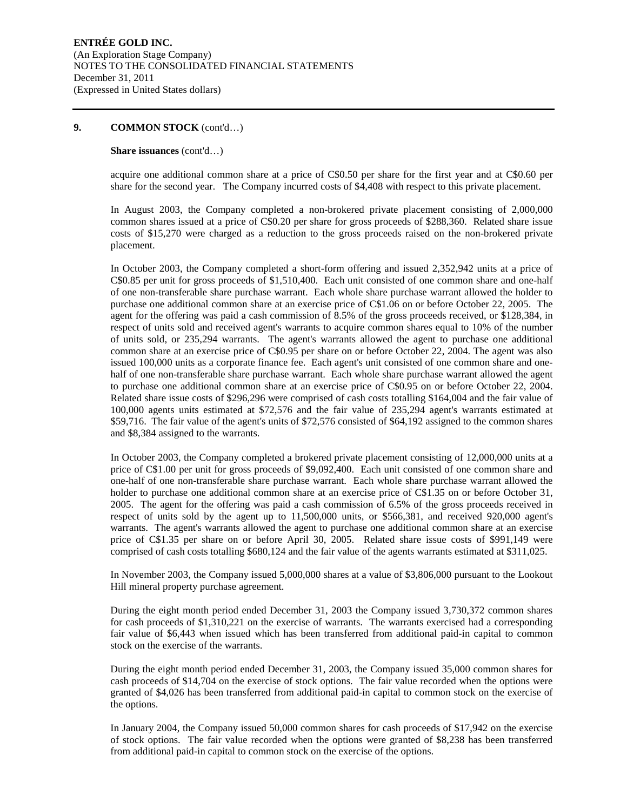#### **Share issuances** (cont'd…)

acquire one additional common share at a price of C\$0.50 per share for the first year and at C\$0.60 per share for the second year. The Company incurred costs of \$4,408 with respect to this private placement.

In August 2003, the Company completed a non-brokered private placement consisting of 2,000,000 common shares issued at a price of C\$0.20 per share for gross proceeds of \$288,360. Related share issue costs of \$15,270 were charged as a reduction to the gross proceeds raised on the non-brokered private placement.

In October 2003, the Company completed a short-form offering and issued 2,352,942 units at a price of C\$0.85 per unit for gross proceeds of \$1,510,400. Each unit consisted of one common share and one-half of one non-transferable share purchase warrant. Each whole share purchase warrant allowed the holder to purchase one additional common share at an exercise price of C\$1.06 on or before October 22, 2005. The agent for the offering was paid a cash commission of 8.5% of the gross proceeds received, or \$128,384, in respect of units sold and received agent's warrants to acquire common shares equal to 10% of the number of units sold, or 235,294 warrants. The agent's warrants allowed the agent to purchase one additional common share at an exercise price of C\$0.95 per share on or before October 22, 2004. The agent was also issued 100,000 units as a corporate finance fee. Each agent's unit consisted of one common share and onehalf of one non-transferable share purchase warrant. Each whole share purchase warrant allowed the agent to purchase one additional common share at an exercise price of C\$0.95 on or before October 22, 2004. Related share issue costs of \$296,296 were comprised of cash costs totalling \$164,004 and the fair value of 100,000 agents units estimated at \$72,576 and the fair value of 235,294 agent's warrants estimated at \$59,716. The fair value of the agent's units of \$72,576 consisted of \$64,192 assigned to the common shares and \$8,384 assigned to the warrants.

In October 2003, the Company completed a brokered private placement consisting of 12,000,000 units at a price of C\$1.00 per unit for gross proceeds of \$9,092,400. Each unit consisted of one common share and one-half of one non-transferable share purchase warrant. Each whole share purchase warrant allowed the holder to purchase one additional common share at an exercise price of C\$1.35 on or before October 31, 2005. The agent for the offering was paid a cash commission of 6.5% of the gross proceeds received in respect of units sold by the agent up to 11,500,000 units, or \$566,381, and received 920,000 agent's warrants. The agent's warrants allowed the agent to purchase one additional common share at an exercise price of C\$1.35 per share on or before April 30, 2005. Related share issue costs of \$991,149 were comprised of cash costs totalling \$680,124 and the fair value of the agents warrants estimated at \$311,025.

In November 2003, the Company issued 5,000,000 shares at a value of \$3,806,000 pursuant to the Lookout Hill mineral property purchase agreement.

During the eight month period ended December 31, 2003 the Company issued 3,730,372 common shares for cash proceeds of \$1,310,221 on the exercise of warrants. The warrants exercised had a corresponding fair value of \$6,443 when issued which has been transferred from additional paid-in capital to common stock on the exercise of the warrants.

During the eight month period ended December 31, 2003, the Company issued 35,000 common shares for cash proceeds of \$14,704 on the exercise of stock options. The fair value recorded when the options were granted of \$4,026 has been transferred from additional paid-in capital to common stock on the exercise of the options.

In January 2004, the Company issued 50,000 common shares for cash proceeds of \$17,942 on the exercise of stock options. The fair value recorded when the options were granted of \$8,238 has been transferred from additional paid-in capital to common stock on the exercise of the options.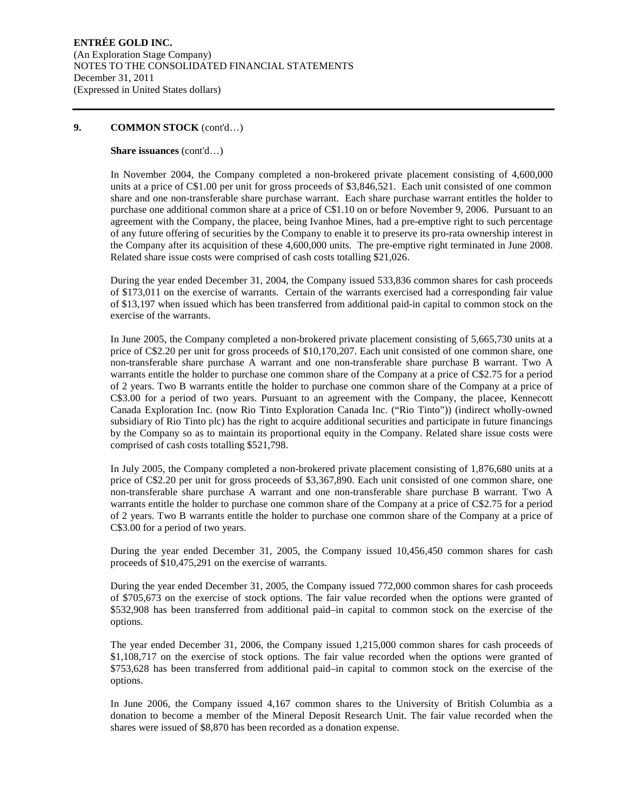#### **Share issuances** (cont'd…)

In November 2004, the Company completed a non-brokered private placement consisting of 4,600,000 units at a price of C\$1.00 per unit for gross proceeds of \$3,846,521. Each unit consisted of one common share and one non-transferable share purchase warrant. Each share purchase warrant entitles the holder to purchase one additional common share at a price of C\$1.10 on or before November 9, 2006. Pursuant to an agreement with the Company, the placee, being Ivanhoe Mines, had a pre-emptive right to such percentage of any future offering of securities by the Company to enable it to preserve its pro-rata ownership interest in the Company after its acquisition of these 4,600,000 units. The pre-emptive right terminated in June 2008. Related share issue costs were comprised of cash costs totalling \$21,026.

During the year ended December 31, 2004, the Company issued 533,836 common shares for cash proceeds of \$173,011 on the exercise of warrants. Certain of the warrants exercised had a corresponding fair value of \$13,197 when issued which has been transferred from additional paid-in capital to common stock on the exercise of the warrants.

In June 2005, the Company completed a non-brokered private placement consisting of 5,665,730 units at a price of C\$2.20 per unit for gross proceeds of \$10,170,207. Each unit consisted of one common share, one non-transferable share purchase A warrant and one non-transferable share purchase B warrant. Two A warrants entitle the holder to purchase one common share of the Company at a price of C\$2.75 for a period of 2 years. Two B warrants entitle the holder to purchase one common share of the Company at a price of C\$3.00 for a period of two years. Pursuant to an agreement with the Company, the placee, Kennecott Canada Exploration Inc. (now Rio Tinto Exploration Canada Inc. ("Rio Tinto")) (indirect wholly-owned subsidiary of Rio Tinto plc) has the right to acquire additional securities and participate in future financings by the Company so as to maintain its proportional equity in the Company. Related share issue costs were comprised of cash costs totalling \$521,798.

In July 2005, the Company completed a non-brokered private placement consisting of 1,876,680 units at a price of C\$2.20 per unit for gross proceeds of \$3,367,890. Each unit consisted of one common share, one non-transferable share purchase A warrant and one non-transferable share purchase B warrant. Two A warrants entitle the holder to purchase one common share of the Company at a price of C\$2.75 for a period of 2 years. Two B warrants entitle the holder to purchase one common share of the Company at a price of C\$3.00 for a period of two years.

During the year ended December 31, 2005, the Company issued 10,456,450 common shares for cash proceeds of \$10,475,291 on the exercise of warrants.

During the year ended December 31, 2005, the Company issued 772,000 common shares for cash proceeds of \$705,673 on the exercise of stock options. The fair value recorded when the options were granted of \$532,908 has been transferred from additional paid–in capital to common stock on the exercise of the options.

The year ended December 31, 2006, the Company issued 1,215,000 common shares for cash proceeds of \$1,108,717 on the exercise of stock options. The fair value recorded when the options were granted of \$753,628 has been transferred from additional paid–in capital to common stock on the exercise of the options.

In June 2006, the Company issued 4,167 common shares to the University of British Columbia as a donation to become a member of the Mineral Deposit Research Unit. The fair value recorded when the shares were issued of \$8,870 has been recorded as a donation expense.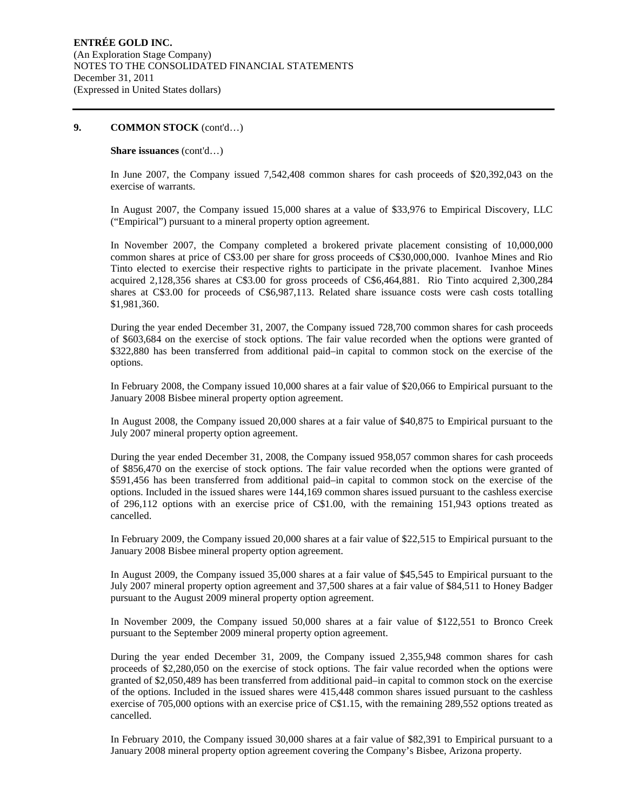#### **Share issuances** (cont'd…)

In June 2007, the Company issued 7,542,408 common shares for cash proceeds of \$20,392,043 on the exercise of warrants.

In August 2007, the Company issued 15,000 shares at a value of \$33,976 to Empirical Discovery, LLC ("Empirical") pursuant to a mineral property option agreement.

In November 2007, the Company completed a brokered private placement consisting of 10,000,000 common shares at price of C\$3.00 per share for gross proceeds of C\$30,000,000. Ivanhoe Mines and Rio Tinto elected to exercise their respective rights to participate in the private placement. Ivanhoe Mines acquired 2,128,356 shares at C\$3.00 for gross proceeds of C\$6,464,881. Rio Tinto acquired 2,300,284 shares at C\$3.00 for proceeds of C\$6,987,113. Related share issuance costs were cash costs totalling \$1,981,360.

During the year ended December 31, 2007, the Company issued 728,700 common shares for cash proceeds of \$603,684 on the exercise of stock options. The fair value recorded when the options were granted of \$322,880 has been transferred from additional paid–in capital to common stock on the exercise of the options.

In February 2008, the Company issued 10,000 shares at a fair value of \$20,066 to Empirical pursuant to the January 2008 Bisbee mineral property option agreement.

In August 2008, the Company issued 20,000 shares at a fair value of \$40,875 to Empirical pursuant to the July 2007 mineral property option agreement.

During the year ended December 31, 2008, the Company issued 958,057 common shares for cash proceeds of \$856,470 on the exercise of stock options. The fair value recorded when the options were granted of \$591,456 has been transferred from additional paid–in capital to common stock on the exercise of the options. Included in the issued shares were 144,169 common shares issued pursuant to the cashless exercise of 296,112 options with an exercise price of C\$1.00, with the remaining 151,943 options treated as cancelled.

In February 2009, the Company issued 20,000 shares at a fair value of \$22,515 to Empirical pursuant to the January 2008 Bisbee mineral property option agreement.

In August 2009, the Company issued 35,000 shares at a fair value of \$45,545 to Empirical pursuant to the July 2007 mineral property option agreement and 37,500 shares at a fair value of \$84,511 to Honey Badger pursuant to the August 2009 mineral property option agreement.

In November 2009, the Company issued 50,000 shares at a fair value of \$122,551 to Bronco Creek pursuant to the September 2009 mineral property option agreement.

During the year ended December 31, 2009, the Company issued 2,355,948 common shares for cash proceeds of \$2,280,050 on the exercise of stock options. The fair value recorded when the options were granted of \$2,050,489 has been transferred from additional paid–in capital to common stock on the exercise of the options. Included in the issued shares were 415,448 common shares issued pursuant to the cashless exercise of 705,000 options with an exercise price of C\$1.15, with the remaining 289,552 options treated as cancelled.

In February 2010, the Company issued 30,000 shares at a fair value of \$82,391 to Empirical pursuant to a January 2008 mineral property option agreement covering the Company's Bisbee, Arizona property.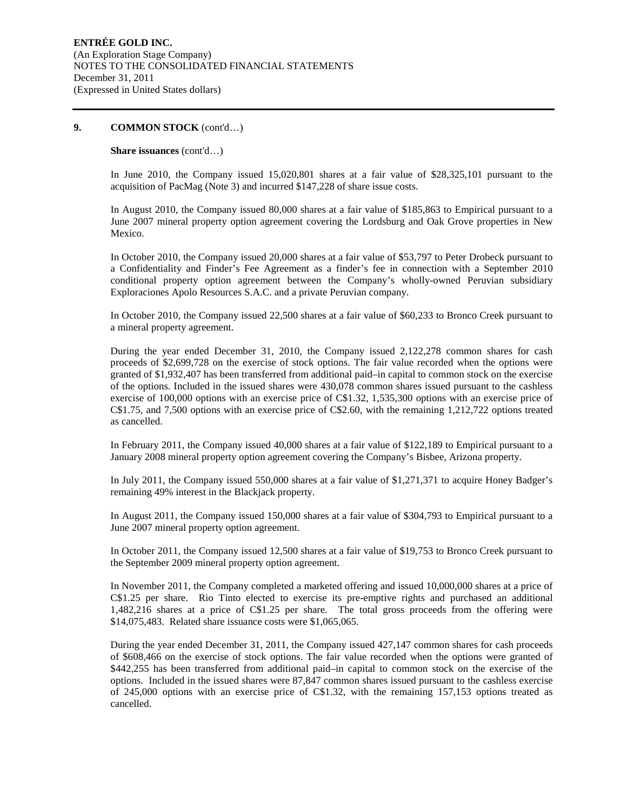#### **Share issuances** (cont'd…)

In June 2010, the Company issued 15,020,801 shares at a fair value of \$28,325,101 pursuant to the acquisition of PacMag (Note 3) and incurred \$147,228 of share issue costs.

In August 2010, the Company issued 80,000 shares at a fair value of \$185,863 to Empirical pursuant to a June 2007 mineral property option agreement covering the Lordsburg and Oak Grove properties in New Mexico.

In October 2010, the Company issued 20,000 shares at a fair value of \$53,797 to Peter Drobeck pursuant to a Confidentiality and Finder's Fee Agreement as a finder's fee in connection with a September 2010 conditional property option agreement between the Company's wholly-owned Peruvian subsidiary Exploraciones Apolo Resources S.A.C. and a private Peruvian company.

In October 2010, the Company issued 22,500 shares at a fair value of \$60,233 to Bronco Creek pursuant to a mineral property agreement.

During the year ended December 31, 2010, the Company issued 2,122,278 common shares for cash proceeds of \$2,699,728 on the exercise of stock options. The fair value recorded when the options were granted of \$1,932,407 has been transferred from additional paid–in capital to common stock on the exercise of the options. Included in the issued shares were 430,078 common shares issued pursuant to the cashless exercise of 100,000 options with an exercise price of C\$1.32, 1,535,300 options with an exercise price of C\$1.75, and 7,500 options with an exercise price of C\$2.60, with the remaining 1,212,722 options treated as cancelled.

In February 2011, the Company issued 40,000 shares at a fair value of \$122,189 to Empirical pursuant to a January 2008 mineral property option agreement covering the Company's Bisbee, Arizona property.

In July 2011, the Company issued 550,000 shares at a fair value of \$1,271,371 to acquire Honey Badger's remaining 49% interest in the Blackjack property.

In August 2011, the Company issued 150,000 shares at a fair value of \$304,793 to Empirical pursuant to a June 2007 mineral property option agreement.

In October 2011, the Company issued 12,500 shares at a fair value of \$19,753 to Bronco Creek pursuant to the September 2009 mineral property option agreement.

In November 2011, the Company completed a marketed offering and issued 10,000,000 shares at a price of C\$1.25 per share. Rio Tinto elected to exercise its pre-emptive rights and purchased an additional 1,482,216 shares at a price of C\$1.25 per share. The total gross proceeds from the offering were \$14,075,483. Related share issuance costs were \$1,065,065.

During the year ended December 31, 2011, the Company issued 427,147 common shares for cash proceeds of \$608,466 on the exercise of stock options. The fair value recorded when the options were granted of \$442,255 has been transferred from additional paid–in capital to common stock on the exercise of the options. Included in the issued shares were 87,847 common shares issued pursuant to the cashless exercise of 245,000 options with an exercise price of C\$1.32, with the remaining 157,153 options treated as cancelled.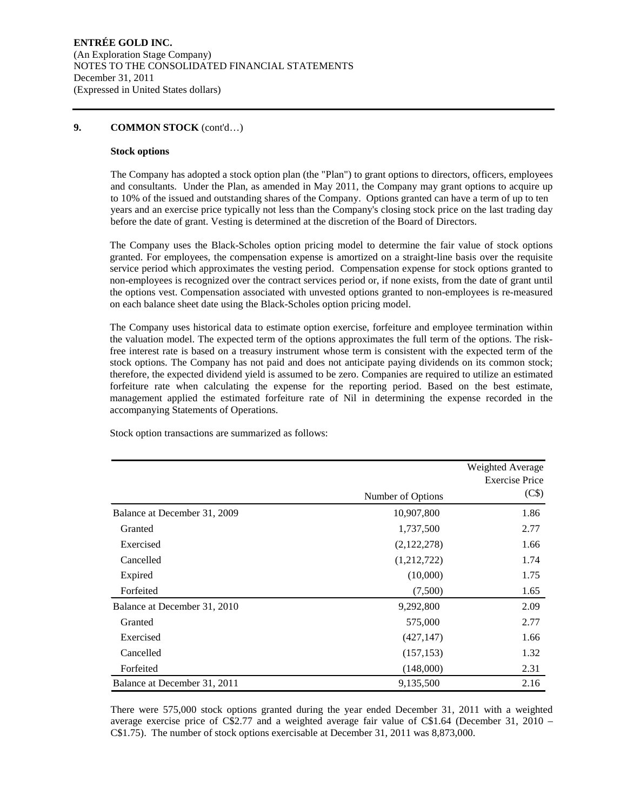#### **Stock options**

The Company has adopted a stock option plan (the "Plan") to grant options to directors, officers, employees and consultants. Under the Plan, as amended in May 2011, the Company may grant options to acquire up to 10% of the issued and outstanding shares of the Company. Options granted can have a term of up to ten years and an exercise price typically not less than the Company's closing stock price on the last trading day before the date of grant. Vesting is determined at the discretion of the Board of Directors.

The Company uses the Black-Scholes option pricing model to determine the fair value of stock options granted. For employees, the compensation expense is amortized on a straight-line basis over the requisite service period which approximates the vesting period. Compensation expense for stock options granted to non-employees is recognized over the contract services period or, if none exists, from the date of grant until the options vest. Compensation associated with unvested options granted to non-employees is re-measured on each balance sheet date using the Black-Scholes option pricing model.

The Company uses historical data to estimate option exercise, forfeiture and employee termination within the valuation model. The expected term of the options approximates the full term of the options. The riskfree interest rate is based on a treasury instrument whose term is consistent with the expected term of the stock options. The Company has not paid and does not anticipate paying dividends on its common stock; therefore, the expected dividend yield is assumed to be zero. Companies are required to utilize an estimated forfeiture rate when calculating the expense for the reporting period. Based on the best estimate, management applied the estimated forfeiture rate of Nil in determining the expense recorded in the accompanying Statements of Operations.

Stock option transactions are summarized as follows:

|                              |                   | Weighted Average      |
|------------------------------|-------------------|-----------------------|
|                              |                   | <b>Exercise Price</b> |
|                              | Number of Options | (C\$)                 |
| Balance at December 31, 2009 | 10,907,800        | 1.86                  |
| Granted                      | 1,737,500         | 2.77                  |
| Exercised                    | (2,122,278)       | 1.66                  |
| Cancelled                    | (1,212,722)       | 1.74                  |
| Expired                      | (10,000)          | 1.75                  |
| Forfeited                    | (7,500)           | 1.65                  |
| Balance at December 31, 2010 | 9,292,800         | 2.09                  |
| Granted                      | 575,000           | 2.77                  |
| Exercised                    | (427, 147)        | 1.66                  |
| Cancelled                    | (157, 153)        | 1.32                  |
| Forfeited                    | (148,000)         | 2.31                  |
| Balance at December 31, 2011 | 9,135,500         | 2.16                  |

There were 575,000 stock options granted during the year ended December 31, 2011 with a weighted average exercise price of C\$2.77 and a weighted average fair value of C\$1.64 (December 31, 2010 – C\$1.75). The number of stock options exercisable at December 31, 2011 was 8,873,000.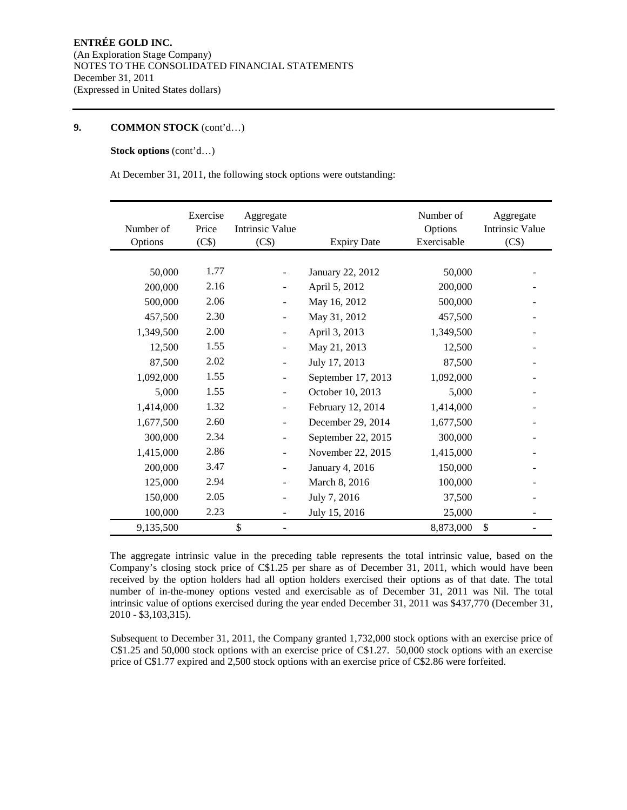**Stock options** (cont'd…)

At December 31, 2011, the following stock options were outstanding:

| Number of<br>Options | Exercise<br>Price<br>(C\$) | Aggregate<br>Intrinsic Value<br>(C\$) | <b>Expiry Date</b> | Number of<br>Options<br>Exercisable | Aggregate<br>Intrinsic Value<br>(C\$) |
|----------------------|----------------------------|---------------------------------------|--------------------|-------------------------------------|---------------------------------------|
|                      |                            |                                       |                    |                                     |                                       |
| 50,000               | 1.77                       |                                       | January 22, 2012   | 50,000                              |                                       |
| 200,000              | 2.16                       |                                       | April 5, 2012      | 200,000                             |                                       |
| 500,000              | 2.06                       |                                       | May 16, 2012       | 500,000                             |                                       |
| 457,500              | 2.30                       | $\overline{\phantom{a}}$              | May 31, 2012       | 457,500                             |                                       |
| 1,349,500            | 2.00                       | $\overline{\phantom{a}}$              | April 3, 2013      | 1,349,500                           |                                       |
| 12,500               | 1.55                       |                                       | May 21, 2013       | 12,500                              |                                       |
| 87,500               | 2.02                       | $\qquad \qquad \blacksquare$          | July 17, 2013      | 87,500                              |                                       |
| 1,092,000            | 1.55                       | $\overline{\phantom{a}}$              | September 17, 2013 | 1,092,000                           |                                       |
| 5,000                | 1.55                       |                                       | October 10, 2013   | 5,000                               |                                       |
| 1,414,000            | 1.32                       | $\blacksquare$                        | February 12, 2014  | 1,414,000                           |                                       |
| 1,677,500            | 2.60                       |                                       | December 29, 2014  | 1,677,500                           |                                       |
| 300,000              | 2.34                       |                                       | September 22, 2015 | 300,000                             |                                       |
| 1,415,000            | 2.86                       | $\overline{\phantom{a}}$              | November 22, 2015  | 1,415,000                           |                                       |
| 200,000              | 3.47                       |                                       | January 4, 2016    | 150,000                             |                                       |
| 125,000              | 2.94                       |                                       | March 8, 2016      | 100,000                             |                                       |
| 150,000              | 2.05                       |                                       | July 7, 2016       | 37,500                              |                                       |
| 100,000              | 2.23                       |                                       | July 15, 2016      | 25,000                              |                                       |
| 9,135,500            |                            | \$                                    |                    | 8,873,000                           | \$                                    |

The aggregate intrinsic value in the preceding table represents the total intrinsic value, based on the Company's closing stock price of C\$1.25 per share as of December 31, 2011, which would have been received by the option holders had all option holders exercised their options as of that date. The total number of in-the-money options vested and exercisable as of December 31, 2011 was Nil. The total intrinsic value of options exercised during the year ended December 31, 2011 was \$437,770 (December 31, 2010 - \$3,103,315).

Subsequent to December 31, 2011, the Company granted 1,732,000 stock options with an exercise price of C\$1.25 and 50,000 stock options with an exercise price of C\$1.27. 50,000 stock options with an exercise price of C\$1.77 expired and 2,500 stock options with an exercise price of C\$2.86 were forfeited.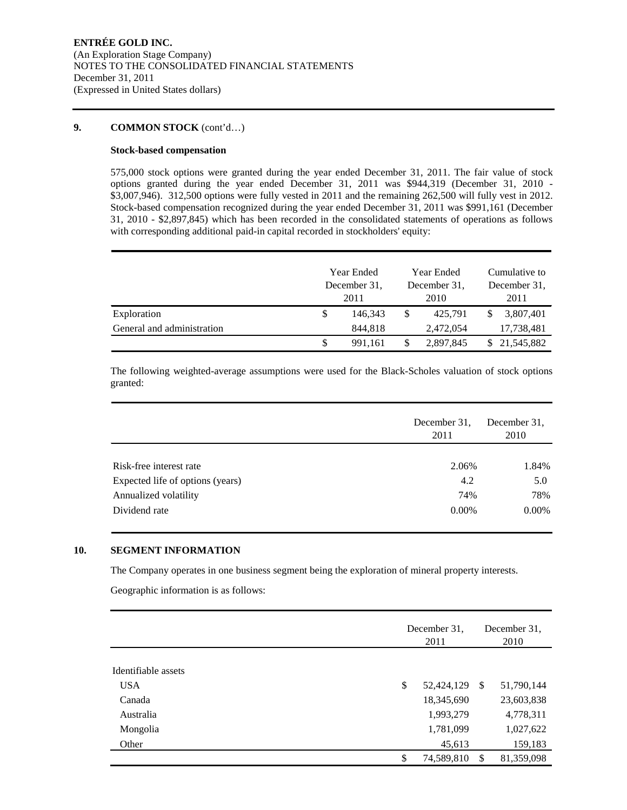#### **Stock-based compensation**

575,000 stock options were granted during the year ended December 31, 2011. The fair value of stock options granted during the year ended December 31, 2011 was \$944,319 (December 31, 2010 - \$3,007,946). 312,500 options were fully vested in 2011 and the remaining 262,500 will fully vest in 2012. Stock-based compensation recognized during the year ended December 31, 2011 was \$991,161 (December 31, 2010 - \$2,897,845) which has been recorded in the consolidated statements of operations as follows with corresponding additional paid-in capital recorded in stockholders' equity:

|                            | Year Ended<br>December 31.<br>2011 |         | Year Ended<br>December 31,<br>2010 |           | Cumulative to<br>December 31.<br>2011 |              |
|----------------------------|------------------------------------|---------|------------------------------------|-----------|---------------------------------------|--------------|
| Exploration                | \$                                 | 146,343 | \$                                 | 425.791   |                                       | 3,807,401    |
| General and administration |                                    | 844,818 |                                    | 2,472,054 |                                       | 17,738,481   |
|                            | \$                                 | 991.161 | \$                                 | 2,897,845 |                                       | \$21,545,882 |

The following weighted-average assumptions were used for the Black-Scholes valuation of stock options granted:

|                                  | December 31.<br>2011 | December 31.<br>2010 |
|----------------------------------|----------------------|----------------------|
|                                  |                      |                      |
| Risk-free interest rate          | 2.06%                | 1.84%                |
| Expected life of options (years) | 4.2                  | 5.0                  |
| Annualized volatility            | 74%                  | 78%                  |
| Dividend rate                    | $0.00\%$             | $0.00\%$             |

#### **10. SEGMENT INFORMATION**

The Company operates in one business segment being the exploration of mineral property interests.

Geographic information is as follows:

|                     | December 31,<br>2011 |               | December 31,<br>2010 |
|---------------------|----------------------|---------------|----------------------|
|                     |                      |               |                      |
| Identifiable assets |                      |               |                      |
| <b>USA</b>          | \$<br>52,424,129     | <sup>\$</sup> | 51,790,144           |
| Canada              | 18,345,690           |               | 23,603,838           |
| Australia           | 1,993,279            |               | 4,778,311            |
| Mongolia            | 1,781,099            |               | 1,027,622            |
| Other               | 45,613               |               | 159,183              |
|                     | \$<br>74,589,810     | -\$           | 81,359,098           |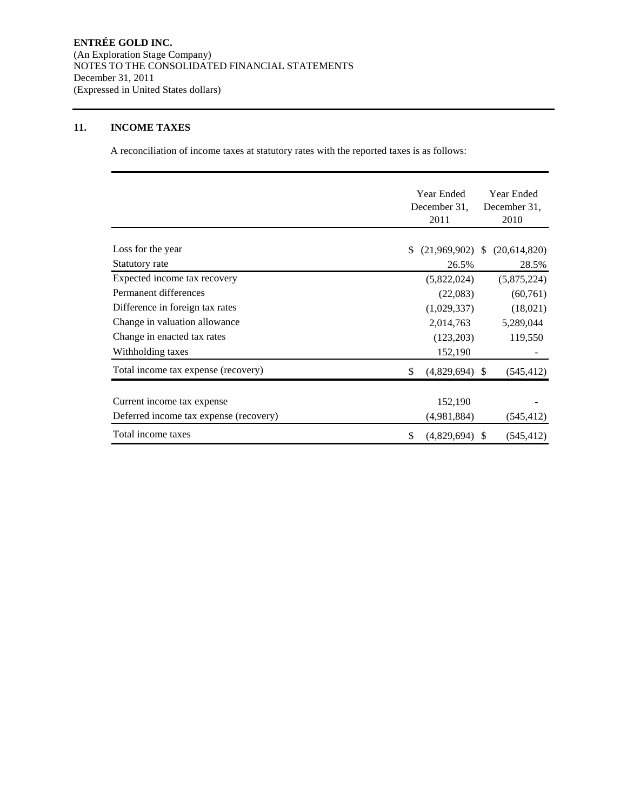#### **11. INCOME TAXES**

A reconciliation of income taxes at statutory rates with the reported taxes is as follows:

|                                        | <b>Year Ended</b><br>December 31.<br>2011 |      | Year Ended<br>December 31,<br>2010 |
|----------------------------------------|-------------------------------------------|------|------------------------------------|
| Loss for the year                      | (21,969,902)                              | -S   | (20,614,820)                       |
| Statutory rate                         | 26.5%                                     |      | 28.5%                              |
| Expected income tax recovery           | (5,822,024)                               |      | (5,875,224)                        |
| Permanent differences                  | (22,083)                                  |      | (60, 761)                          |
| Difference in foreign tax rates        | (1,029,337)                               |      | (18,021)                           |
| Change in valuation allowance          | 2,014,763                                 |      | 5,289,044                          |
| Change in enacted tax rates            | (123,203)                                 |      | 119,550                            |
| Withholding taxes                      | 152,190                                   |      |                                    |
| Total income tax expense (recovery)    | \$<br>(4,829,694)                         | -S   | (545, 412)                         |
| Current income tax expense             | 152,190                                   |      |                                    |
| Deferred income tax expense (recovery) | (4,981,884)                               |      | (545, 412)                         |
| Total income taxes                     | \$<br>(4,829,694)                         | - \$ | (545, 412)                         |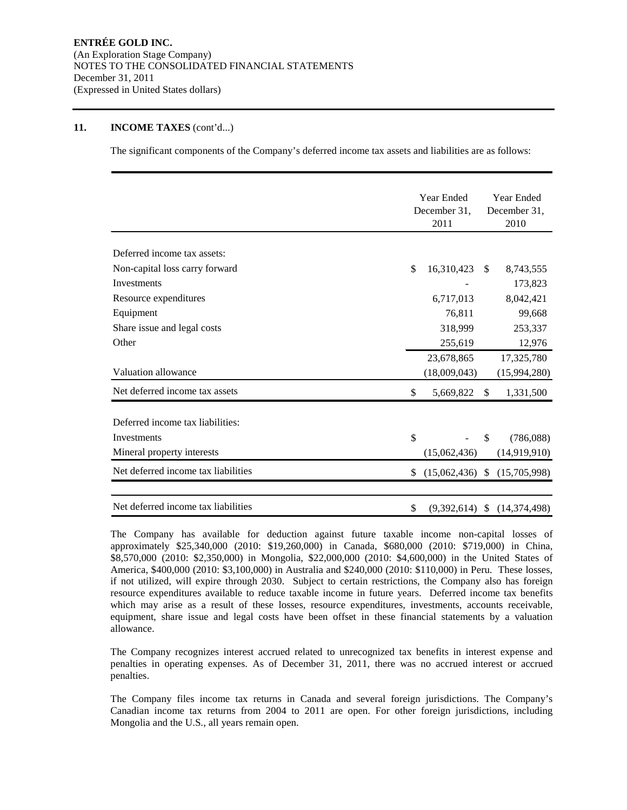#### **11. INCOME TAXES** (cont'd...)

The significant components of the Company's deferred income tax assets and liabilities are as follows:

|                                     |    | Year Ended<br>December 31, |               | Year Ended<br>December 31,       |  |
|-------------------------------------|----|----------------------------|---------------|----------------------------------|--|
|                                     |    |                            |               |                                  |  |
|                                     |    | 2011                       |               | 2010                             |  |
| Deferred income tax assets:         |    |                            |               |                                  |  |
| Non-capital loss carry forward      | \$ | 16,310,423                 | <sup>\$</sup> | 8,743,555                        |  |
| Investments                         |    |                            |               | 173,823                          |  |
| Resource expenditures               |    | 6,717,013                  |               | 8,042,421                        |  |
| Equipment                           |    | 76,811                     |               | 99,668                           |  |
| Share issue and legal costs         |    | 318,999                    |               | 253,337                          |  |
| Other                               |    | 255,619                    |               | 12,976                           |  |
|                                     |    | 23,678,865                 |               | 17,325,780                       |  |
| Valuation allowance                 |    | (18,009,043)               |               | (15,994,280)                     |  |
| Net deferred income tax assets      | \$ | 5,669,822                  | S.            | 1,331,500                        |  |
| Deferred income tax liabilities:    |    |                            |               |                                  |  |
| Investments                         | \$ |                            | \$.           | (786,088)                        |  |
| Mineral property interests          |    | (15,062,436)               |               | (14,919,910)                     |  |
| Net deferred income tax liabilities | \$ |                            |               | $(15,062,436)$ \$ $(15,705,998)$ |  |
| Net deferred income tax liabilities | \$ |                            |               | $(9,392,614)$ \$ $(14,374,498)$  |  |

The Company has available for deduction against future taxable income non-capital losses of approximately \$25,340,000 (2010: \$19,260,000) in Canada, \$680,000 (2010: \$719,000) in China, \$8,570,000 (2010: \$2,350,000) in Mongolia, \$22,000,000 (2010: \$4,600,000) in the United States of America, \$400,000 (2010: \$3,100,000) in Australia and \$240,000 (2010: \$110,000) in Peru. These losses, if not utilized, will expire through 2030. Subject to certain restrictions, the Company also has foreign resource expenditures available to reduce taxable income in future years. Deferred income tax benefits which may arise as a result of these losses, resource expenditures, investments, accounts receivable, equipment, share issue and legal costs have been offset in these financial statements by a valuation allowance.

The Company recognizes interest accrued related to unrecognized tax benefits in interest expense and penalties in operating expenses. As of December 31, 2011, there was no accrued interest or accrued penalties.

The Company files income tax returns in Canada and several foreign jurisdictions. The Company's Canadian income tax returns from 2004 to 2011 are open. For other foreign jurisdictions, including Mongolia and the U.S., all years remain open.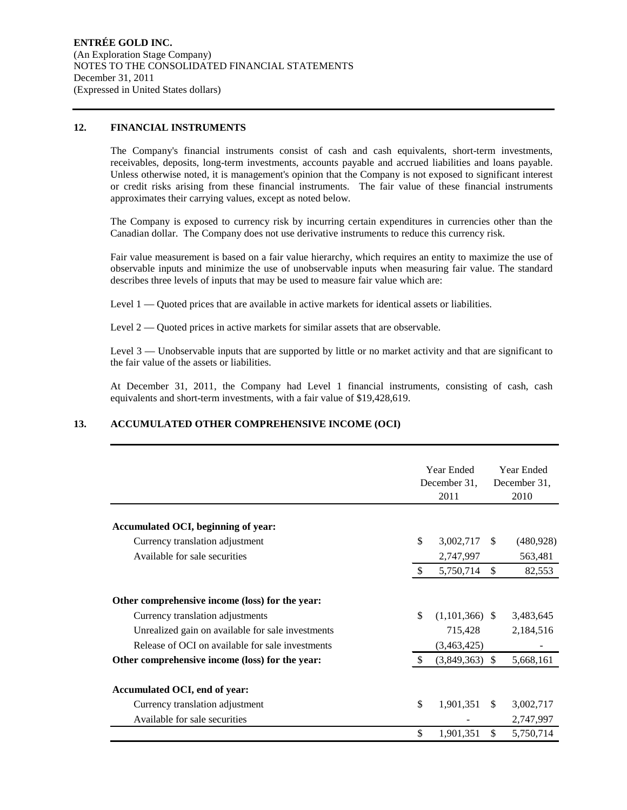#### **12. FINANCIAL INSTRUMENTS**

The Company's financial instruments consist of cash and cash equivalents, short-term investments, receivables, deposits, long-term investments, accounts payable and accrued liabilities and loans payable. Unless otherwise noted, it is management's opinion that the Company is not exposed to significant interest or credit risks arising from these financial instruments. The fair value of these financial instruments approximates their carrying values, except as noted below.

The Company is exposed to currency risk by incurring certain expenditures in currencies other than the Canadian dollar. The Company does not use derivative instruments to reduce this currency risk.

Fair value measurement is based on a fair value hierarchy, which requires an entity to maximize the use of observable inputs and minimize the use of unobservable inputs when measuring fair value. The standard describes three levels of inputs that may be used to measure fair value which are:

Level 1 — Quoted prices that are available in active markets for identical assets or liabilities.

Level 2 — Quoted prices in active markets for similar assets that are observable.

Level 3 — Unobservable inputs that are supported by little or no market activity and that are significant to the fair value of the assets or liabilities.

At December 31, 2011, the Company had Level 1 financial instruments, consisting of cash, cash equivalents and short-term investments, with a fair value of \$19,428,619.

### **13. ACCUMULATED OTHER COMPREHENSIVE INCOME (OCI)**

|                                                                  |               | Year Ended<br>December 31,<br>2011 |               | <b>Year Ended</b><br>December 31,<br>2010 |  |
|------------------------------------------------------------------|---------------|------------------------------------|---------------|-------------------------------------------|--|
| Accumulated OCI, beginning of year:                              |               |                                    |               |                                           |  |
|                                                                  | \$            | 3,002,717                          | <sup>\$</sup> | (480, 928)                                |  |
| Currency translation adjustment<br>Available for sale securities |               |                                    |               |                                           |  |
|                                                                  | \$            | 2,747,997<br>5,750,714             | $\mathbb{S}$  | 563,481<br>82,553                         |  |
|                                                                  |               |                                    |               |                                           |  |
| Other comprehensive income (loss) for the year:                  |               |                                    |               |                                           |  |
| Currency translation adjustments                                 | \$            | $(1,101,366)$ \$                   |               | 3,483,645                                 |  |
| Unrealized gain on available for sale investments                |               | 715,428                            |               | 2,184,516                                 |  |
| Release of OCI on available for sale investments                 |               | (3,463,425)                        |               |                                           |  |
| Other comprehensive income (loss) for the year:                  | <sup>\$</sup> | $(3,849,363)$ \$                   |               | 5,668,161                                 |  |
| Accumulated OCI, end of year:                                    |               |                                    |               |                                           |  |
| Currency translation adjustment                                  | \$            | 1,901,351                          | <sup>\$</sup> | 3,002,717                                 |  |
| Available for sale securities                                    |               |                                    |               | 2,747,997                                 |  |
|                                                                  | $\mathbb{S}$  | 1,901,351                          | \$            | 5,750,714                                 |  |